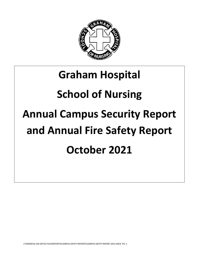

# **Graham Hospital**

# **School of Nursing**

# **Annual Campus Security Report and Annual Fire Safety Report**

# **October 2021**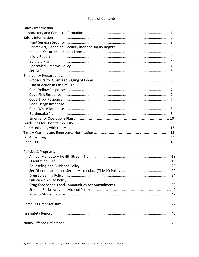# Table of Contents

| Safety Information            |  |
|-------------------------------|--|
|                               |  |
|                               |  |
|                               |  |
|                               |  |
|                               |  |
|                               |  |
|                               |  |
|                               |  |
|                               |  |
| <b>Emergency Preparedness</b> |  |
|                               |  |
|                               |  |
|                               |  |
|                               |  |
|                               |  |
|                               |  |
|                               |  |
|                               |  |
|                               |  |
|                               |  |
|                               |  |
|                               |  |
|                               |  |
|                               |  |
| Policies & Programs           |  |
|                               |  |
|                               |  |
|                               |  |
|                               |  |
|                               |  |
|                               |  |
|                               |  |
|                               |  |
|                               |  |
|                               |  |
|                               |  |
|                               |  |
|                               |  |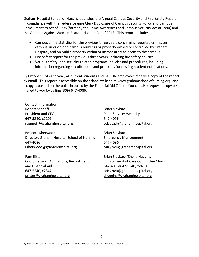Graham Hospital School of Nursing publishes the Annual Campus Security and Fire Safety Report in compliance with the Federal Jeanne Clery Disclosure of Campus Security Policy and Campus Crime Statistics Act of 1998 (formerly the Crime Awareness and Campus Security Act of 1990) and the Violence Against Women Reauthorization Act of 2013. This report includes:

- Campus crime statistics for the previous three years concerning reported crimes on campus, in or on non-campus buildings or property owned or controlled by Graham Hospital, and on public property within or immediately adjacent to the campus.
- Fire Safety report for the previous three years, including fire safety policies.
- Various safety- and security-related programs, policies and procedures, including information regarding sex offenders and protocols for missing student notifications.

By October 1 of each year, all current students and GHSON employees receive a copy of the report by email. This report is accessible on the school website at www.grahamschoolofnursing.org, and a copy is posted on the bulletin board by the Financial Aid Office. You can also request a copy be mailed to you by calling (309) 647-4086.

Contact Information Robert Senneff President and CEO 647-5240, x2201 [rsenneff@grahamhospital.org](mailto:rsenneff@grahamhospital.org)

Rebecca Sherwood Director, Graham Hospital School of Nursing 647-4086 [rsherwood@grahamhospital.org](mailto:rsherwood@grahamhospital.org)

Pam Ritter Coordinator of Admissions, Recruitment, and Financial Aid 647-5240, x2347 [pritter@grahamhospital.org](mailto:pritter@grahamhospital.org)

Brian Slayback Plant Services/Security 647-4096 bslayback[@grahamhospital.org](mailto:bslayback@grahamhospital.org)

Brian Slayback Emergency Management 647-4096 bslayback[@grahamhospital.org](mailto:bslayback@grahamhospital.org)

Brian Slayback/Sheila Huggins Environment of Care Committee Chairs 647-4096/647-5240, x2430 bslayback[@grahamhospital.org](mailto:bslayback@grahamhospital.org) [shuggins@grahamhospital.org](mailto:shuggins@grahamhospital.org)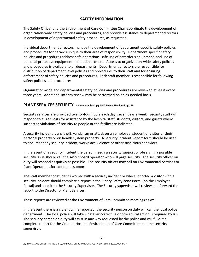# **SAFETY INFORMATION**

The Safety Officer and the Environment of Care Committee Chair coordinate the development of organization-wide safety policies and procedures, and provide assistance to department directors in development of departmental safety procedures, as requested.

Individual department directors manage the development of department-specific safety policies and procedures for hazards unique to their area of responsibility. Department specific safety policies and procedures address safe operations, safe use of hazardous equipment, and use of personal protective equipment in that department. Access to organization-wide safety policies and procedures is available to all departments. Department directors are responsible for distribution of department level policies and procedures to their staff and for ensuring enforcement of safety policies and procedures. Each staff member is responsible for following safety policies and procedures.

Organization-wide and departmental safety policies and procedures are reviewed at least every three years. Additional interim review may be performed on an as-needed basis.

# **PLANT SERVICES SECURITY (Student Handbook pg. 34 & Faculty Handbook pgs. 89)**

Security services are provided twenty-four hours each day, seven days a week. Security staff will respond to all requests for assistance by the hospital staff, students, visitors, and guests where suspected violations of security to people or the facility are indicated.

A security incident is any theft, vandalism or attack on an employee, student or visitor or their personal property or on health system property. A Security Incident Report form should be used to document any security incident, workplace violence or other suspicious behaviors.

In the event of a security incident the person needing security support or observing a possible security issue should call the switchboard operator who will page security. The security officer on duty will respond as quickly as possible. The security officer may call on Environmental Services or Plant Operations for additional support.

The staff member or student involved with a security incident or who supported a visitor with a security incident should complete a report in the Clarity Safety Zone Portal (on the Employee Portal) and send it to the Security Supervisor. The Security supervisor will review and forward the report to the Director of Plant Services.

These reports are reviewed at the Environment of Care Committee meetings as well.

In the event there is a violent crime reported, the security person on duty will call the local police department. The local police will take whatever corrective or procedural action is required by law. The security person on duty will assist in any way requested by the police and will fill out a complete report for the Graham Hospital Environment of Care Committee and the security supervisor.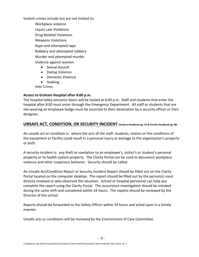Violent crimes include but are not limited to:

- Workplace violence Liquor Law Violations Drug Related Violations Weapons Violations Rape and attempted rape Robbery and attempted robbery Murder and attempted murder Violence against women • Sexual Assault
	- Dating Violence
	- Domestic Violence
	- Stalking

Hate Crimes

#### **Access to Graham Hospital after 8:00 p.m.**

The hospital lobby entrance doors will be locked at 8:00 p.m. Staff and students that enter the hospital after 8:00 must enter through the Emergency Department. All staff or students that are not wearing an employee badge must be escorted to their destination by a security officer or their designee.

# **UNSAFE ACT, CONDITION, OR SECURITY INCIDENT (Student Handbook pg. 33 & Faculty Handbook pg. 88)**

An unsafe act or condition is: where the acts of the staff, students, visitors or the conditions of the equipment or facility could result in a personal injury or damage to the organization's property or both.

A security incident is: any theft or vandalism to an employee's, visitor's or student's personal property or to health system property. The Clarity Portal can be used to document workplace violence and other suspicious behavior. Security should be called.

An Unsafe Act/Condition Report or Security Incident Report should be filled out on the Clarity Portal located on the computer desktop. The report should be filled out by the person(s) most directly involved or who observed the situation. School or hospital personnel can help you complete the report using the Clarity Portal. The occurrence investigation should be initiated during the same shift and completed within 24 hours. The reports should be reviewed by the Director of the school.

Reports should be forwarded to the Safety Officer within 24 hours and acted upon in a timely manner.

Unsafe acts or conditions will be reviewed by the Environment of Care Committee.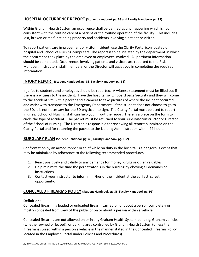# **HOSPITAL OCCURRENCE REPORT (Student Handbook pg. 33 and Faculty Handbook pg. 88)**

Within Graham Health System an occurrence shall be defined as any happening which is not consistent with the routine care of a patient or the routine operation of the facility. This includes lost, broken or malfunctioning property and accidents involving a patient or visitor.

To report patient care improvement or visitor incident, use the Clarity Portal icon located on hospital and School of Nursing computers. The report is to be initiated by the department in which the occurrence took place by the employee or employees involved. All pertinent information should be completed. Occurrences involving patients and visitors are reported to the Risk Manager. Instructors, staff members, or the Director will assist you in completing the required information.

# **INJURY REPORT (Student Handbook pg. 33, Faculty Handbook pg. 88)**

Injuries to students and employees should be reported. A witness statement must be filled out if there is a witness to the incident. Have the hospital switchboard page Security and they will come to the accident site with a packet and a camera to take pictures of where the incident occurred and assist with transport to the Emergency Department. If the student does not choose to go to the ED, it is not necessary for the ED physician to sign. The Clarity Portal must be used to report injuries. School of Nursing staff can help you fill out the report. There is a place on the form to circle the type of accident. The packet must be returned to your supervisor/instructor or Director of the School of Nursing. The Director is responsible for reviewing all reports submitted on the Clarity Portal and for returning the packet to the Nursing Administration within 24 hours.

# **BURGLARY PLAN (Student Handbook pg. 45, Faculty Handbook pg. 102)**

Confrontation by an armed robber or thief while on duty in the hospital is a dangerous event that may be minimized by adherence to the following recommended procedures.

- 1. React positively and calmly to any demands for money, drugs or other valuables.
- 2. Help minimize the time the perpetrator is in the building by obeying all demands or instructions.
- 3. Contact your instructor to inform him/her of the incident at the earliest, safest opportunity.

# **CONCEALED FIREARMS POLICY (Student Handbook pg. 36, Faculty Handbook pg. 91)**

# **Definition:**

Concealed firearm: a loaded or unloaded firearm carried on or about a person completely or mostly concealed from view of the public or on or about a person within a vehicle.

Concealed firearms are not allowed on or in any Graham Health System building, Graham vehicles (whether owned or leased), or parking area controlled by Graham Health System (unless the firearm is stored within a person's vehicle in the manner stated in the Concealed Firearms Policy located in the Employee Portal under Policies and Procedures).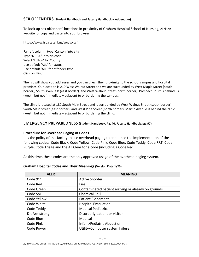#### **SEX OFFENDERS (Student Handbook and Faculty Handbook – Addendum)**

To look up sex offenders' locations in proximity of Graham Hospital School of Nursing, click on website (or copy and paste into your browser):

#### <https://www.isp.state.il.us/sor/sor.cfm>

Far left column, type 'Canton' into city Type '61520' into zip code Select 'Fulton' for County Use default 'ALL' for status Use default 'ALL' for offender type Click on 'Find'

The list will show you addresses and you can check their proximity to the school campus and hospital premises. Our location is 210 West Walnut Street and we are surrounded by West Maple Street (south border), South Avenue B (east border), and West Walnut Street (north border). Prospect Court is behind us (west), but not immediately adjacent to or bordering the campus.

The clinic is located at 180 South Main Street and is surrounded by West Walnut Street (south border), South Main Street (east border), and West Pine Street (north border). Martin Avenue is behind the clinic (west), but not immediately adjacent to or bordering the clinic.

#### **EMERGENCY PREPAREDNESS (Student Handbook, Pg. 40, Faculty Handbook, pg. 97)**

#### **Procedure for Overhead Paging of Codes**

It is the policy of this facility to use overhead paging to announce the implementation of the following codes: Code Black, Code Yellow, Code Pink, Code Blue, Code Teddy, Code RRT, Code Purple, Code Triage and the All Clear for a code (including a Code Red).

At this time, these codes are the only approved usage of the overhead paging system.

| <b>ALERT</b>  | <b>MEANING</b>                                      |
|---------------|-----------------------------------------------------|
| Code 911      | <b>Active Shooter</b>                               |
| Code Red      | Fire                                                |
| Code Green    | Contaminated patient arriving or already on grounds |
| Code Spill    | <b>Chemical Spill</b>                               |
| Code Yellow   | <b>Patient Elopement</b>                            |
| Code White    | <b>Hospital Evacuation</b>                          |
| Code Teddy    | <b>Medical Pediatrics</b>                           |
| Dr. Armstrong | Disorderly patient or visitor                       |
| Code Blue     | Medical                                             |
| Code Pink     | Infant/Pediatric Abduction                          |
| Code Power    | Utility/Computer system failure                     |

# **Graham Hospital Codes and Their Meanings (Version Date 1/20):**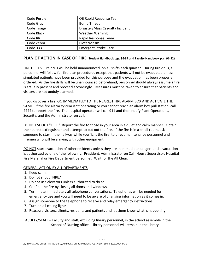| Code Purple | OB Rapid Response Team          |
|-------------|---------------------------------|
| Code Gray   | <b>Bomb Threat</b>              |
| Code Triage | Disaster/Mass Casualty Incident |
| Code Black  | <b>Weather Warning</b>          |
| Code RRT    | Rapid Response Team             |
| Code Zebra  | Bioterrorism                    |
| Code 333    | <b>Emergent Stroke Care</b>     |

# **PLAN OF ACTION IN CASE OF FIRE (Student Handbook pgs. 36-37 and Faculty Handbook pgs. 91-92)**

FIRE DRILLS: Fire drills will be held unannounced, on all shifts each quarter. During fire drills, all personnel will follow full fire plan procedures except that patients will not be evacuated unless simulated patients have been provided for this purpose and the evacuation has been properly ordered. As the fire drills will be unannounced beforehand, personnel should always assume a fire is actually present and proceed accordingly. Measures must be taken to ensure that patients and visitors are not unduly alarmed.

If you discover a fire, GO IMMEDIATELY TO THE NEAREST FIRE ALARM BOX AND ACTIVATE THE SAME. If the fire alarm system isn't operating or you cannot reach an alarm box pull station, call 4444 to report the fire. The hospital operator will call 911 and then notify Plant Operations, Security, and the Administrator on call.

DO NOT SHOUT "FIRE." Report the fire to those in your area in a quiet and calm manner. Obtain the nearest extinguisher and attempt to put out the fire. If the fire is in a small room, ask someone to stay in the hallway while you fight the fire, to direct maintenance personnel and firemen who will be arriving with other equipment.

DO NOT start evacuation of other residents unless they are in immediate danger, until evacuation is authorized by one of the following: President, Administrator on Call, House Supervisor, Hospital Fire Marshal or Fire Department personnel. Wait for the All Clear.

# GENERAL ACTION BY ALL DEPARTMENTS

- 1. Keep calm.
- 2. Do not shout "FIRE."
- 3. Do not use elevators unless authorized to do so.
- 4. Confine the fire by closing all doors and windows.
- 5. Terminate immediately all telephone conversations. Telephones will be needed for emergency use and you will need to be aware of changing information as it comes in.
- 6. Assign someone to the telephone to receive and relay emergency instructions.
- 7. Turn on all ceiling lights.
- 8. Reassure visitors, clients, residents and patients and let them know what is happening.

FACULTY/STAFF – Faculty and staff, excluding library personnel, in the school assemble in the School of Nursing office. Library personnel will remain in the library.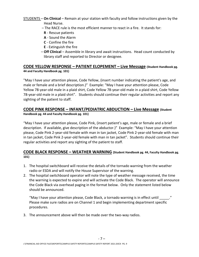- STUDENTS **On Clinical** Remain at your station with faculty and follow instructions given by the Head Nurse.
	- The RACE rule is the most efficient manner to react in a fire. It stands for:
	- **R** Rescue patients
	- **A** Sound the Alarm
	- **C** Confine the fire
	- **E** Extinguish the fire
	- **Off Clinical** Assemble in library and await instructions. Head count conducted by library staff and reported to Director or designee.

# **CODE YELLOW RESPONSE – PATIENT ELOPEMENT – Live Message (Student Handbook pg. 44 and Faculty Handbook pg. 101)**

"May I have your attention please, Code Yellow, (insert number indicating the patient's age, and male or female and a brief description.)" Example: "May I have your attention please, Code Yellow 78-year-old male in a plaid shirt, Code Yellow 78-year-old male in a plaid shirt, Code Yellow 78-year-old male in a plaid shirt". Students should continue their regular activities and report any sighting of the patient to staff.

#### **CODE PINK RESPONSE – INFANT/PEDIATRIC ABDUCTION – Live Message (Student Handbook pg. 44 and Faculty Handbook pg. 101)**

"May I have your attention please, Code Pink, (insert patient's age, male or female and a brief description. If available, give description of the abductor.)" Example: "May I have your attention please, Code Pink 2-year-old female with man in tan jacket, Code Pink 2-year-old female with man in tan jacket, Code Pink 2-year-old female with man in tan jacket". Students should continue their regular activities and report any sighting of the patient to staff.

# **CODE BLACK RESPONSE – WEATHER WARNING (Student Handbook pg. 44, Faculty Handbook pg. 101)**

- 1. The hospital switchboard will receive the details of the tornado warning from the weather radio or ESDA and will notify the House Supervisor of the warning.
- 2. The hospital switchboard operator will note the type of weather message received, the time the warning is expected to expire and will activate the Code Black. The operator will announce the Code Black via overhead paging in the format below. Only the statement listed below should be announced.

"May I have your attention please, Code Black, a tornado warning is in effect until Please make sure radios are on Channel 1 and begin implementing department specific procedures.

3. The announcement above will then be made over the two-way radios.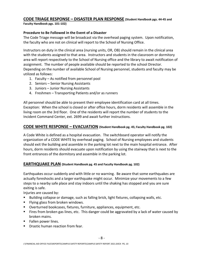# **CODE TRIAGE RESPONSE – DISASTER PLAN RESPONSE (Student Handbook pgs. 44-45 and**

**Faculty Handbook pgs. 101-102)**

#### **Procedure to Be Followed in the Event of a Disaster**

The Code Triage message will be broadcast via the overhead paging system. Upon notification, the faculty who are not on clinical will report to the School of Nursing Office.

Instructors on duty in the clinical area (nursing units, OR, OB) should remain in the clinical area with the students assigned to that area. Instructors and students in the classroom or dormitory area will report respectively to the School of Nursing office and the library to await notification of assignment. The number of people available should be reported to the school Director. Depending on the number of available School of Nursing personnel, students and faculty may be utilized as follows:

- 1. Faculty As notified from personnel pool
- 2. Seniors Senior Nursing Assistants
- 3. Juniors Junior Nursing Assistants
- 4. Freshmen Transporting Patients and/or as runners

All personnel should be able to present their employee identification card at all times. Exception: When the school is closed or after office hours, dorm residents will assemble in the living room on the 3rd floor. One of the residents will report the number of students to the Incident Command Center, ext. 2699 and await further instructions.

# **CODE WHITE RESPONSE – EVACUATION (Student Handbook pg. 45; Faculty Handbook pg. 102)**

A Code White is defined as a hospital evacuation. The switchboard operator will notify the organization of a CODE WHITE by overhead paging. School of Nursing employees and students should exit the building and assemble in the parking lot next to the main hospital entrance. After hours, dorm residents should evacuate upon notification by using the stairway that is next to the front entrances of the dormitory and assemble in the parking lot.

# **EARTHQUAKE PLAN (Student Handbook pg. 45 and Faculty Handbook pg. 102)**

Earthquakes occur suddenly and with little or no warning. Be aware that some earthquakes are actually foreshocks and a larger earthquake might occur. Minimize your movements to a few steps to a nearby safe place and stay indoors until the shaking has stopped and you are sure exiting is safe.

Injuries are caused by:

- Building collapse or damage, such as falling brick, light fixtures, collapsing walls, etc.
- Flying glass from broken windows.
- Overturned bookcases, fixtures, furniture, appliances, equipment, etc.
- Fires from broken gas lines, etc. This danger could be aggravated by a lack of water caused by broken mains.
- Fallen power lines.
- Drastic human reaction from fear.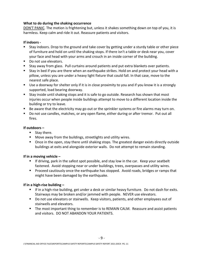# **What to do during the shaking occurrence**

DON'T PANIC. The motion is frightening but, unless it shakes something down on top of you, it is harmless. Keep calm and ride it out. Reassure patients and visitors.

#### **If indoors -**

- Stay indoors. Drop to the ground and take cover by getting under a sturdy table or other piece of furniture and hold on until the shaking stops. If there isn't a table or desk near you, cover your face and head with your arms and crouch in an inside corner of the building.
- Do not use elevators.
- Stay away from glass. Pull curtains around patients and put extra blankets over patients.
- Stay in bed if you are there when an earthquake strikes. Hold on and protect your head with a pillow, unless you are under a heavy light fixture that could fall. In that case, move to the nearest safe place.
- Use a doorway for shelter only if it is in close proximity to you and if you know it is a strongly supported, load bearing doorway.
- Stay inside until shaking stops and it is safe to go outside. Research has shown that most injuries occur when people inside buildings attempt to move to a different location inside the building or try to leave.
- Be aware that the electricity may go out or the sprinkler systems or fire alarms may turn on.
- Do not use candles, matches, or any open flame, either during or after tremor. Put out all fires.

#### **If outdoors –**

- Stay there.
- Move away from the buildings, streetlights and utility wires.
- Once in the open, stay there until shaking stops. The greatest danger exists directly outside buildings at exits and alongside exterior walls. Do not attempt to remain standing.

#### **If in a moving vehicle –**

- If driving, park in the safest spot possible, and stay low in the car. Keep your seatbelt fastened. Avoid stopping near or under buildings, trees, overpasses and utility wires.
- **Proceed cautiously once the earthquake has stopped. Avoid roads, bridges or ramps that** might have been damaged by the earthquake.

# **If in a high-rise building –**

- **•** If in a high-rise building, get under a desk or similar heavy furniture. Do not dash for exits. Stairways may be broken and/or jammed with people. NEVER use elevators.
- Do not use elevators or stairwells. Keep visitors, patients, and other employees out of stairwells and elevators.
- The most important thing to remember is to REMAIN CALM. Reassure and assist patients and visitors. DO NOT ABANDON YOUR PATIENTS.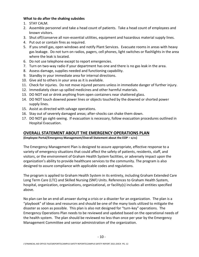#### **What to do after the shaking subsides**

- 1. STAY CALM.
- 2. Assemble personnel and take a head count of patients. Take a head count of employees and known visitors.
- 3. Shut off/conserve all non-essential utilities, equipment and hazardous material supply lines.
- 4. Put out or contain fires as required.
- 5. If you smell gas, open windows and notify Plant Services. Evacuate rooms in areas with heavy gas leakage. Do not turn on radios, pagers, cell phones, light switches or flashlights in the area where the leak is located.
- 6. Do not use telephone except to report emergencies.
- 7. Turn on two-way radio if your department has one and there is no gas leak in the area.
- 8. Assess damage, supplies needed and functioning capability.
- 9. Standby in your immediate area for internal directions.
- 10. Give aid to others in your area as it is available.
- 11. Check for injuries. Do not move injured persons unless in immediate danger of further injury.
- 12. Immediately clean up spilled medicines and other harmful materials.
- 13. DO NOT eat or drink anything from open containers near shattered glass.
- 14. DO NOT touch downed power lines or objects touched by the downed or shorted power supply lines.
- 15. Assist as directed with salvage operations.
- 16. Stay out of severely damaged areas; after-shocks can shake them down.
- 17. DO NOT go sight-seeing. If evacuation is necessary, follow evacuation procedures outlined in Hospital Evacuation.

# **OVERALL STATEMENT ABOUT THE EMERGENCY OPERATIONS PLAN**

**(Employee Portal/Emergency Management/Overall Statement about the EOP – 6/21)**

The Emergency Management Plan is designed to assure appropriate, effective response to a variety of emergency situations that could affect the safety of patients, residents, staff, and visitors, or the environment of Graham Health System facilities, or adversely impact upon the organization's ability to provide healthcare services to the community. The program is also designed to assure compliance with applicable codes and regulations.

The program is applied to Graham Health System in its entirety, including Graham Extended Care Long Term Care (LTC) and Skilled Nursing (SNF) Units. References to Graham Health System, hospital, organization, organizations, organizational, or facility(s) includes all entities specified above.

No plan can be an end-all answer during a crisis or a disaster for an organization. The plan is a "playbook" of ideas and resources and should be one of the many tools utilized to mitigate the disaster as soon as possible. This plan is also not designed for "turn-key" operations. The Emergency Operations Plan needs to be reviewed and updated based on the operational needs of the health system. The plan should be reviewed no less than once per year by the Emergency Management Committee and senior administration of the organization.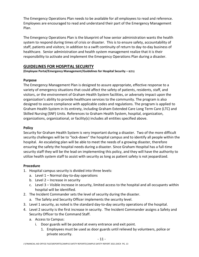The Emergency Operations Plan needs to be available for all employees to read and reference. Employees are encouraged to read and understand their part of the Emergency Management Plan.

The Emergency Operations Plan is the blueprint of how senior administration wants the health system to respond during times of crisis or disaster. This is to ensure safety, accountability of staff, patients and visitors; in addition to a swift continuity of return to day-to-day business of healthcare. Senior administration and health system management realize that it is their responsibility to activate and implement the Emergency Operations Plan during a disaster.

# **GUIDELINES FOR HOSPITAL SECURITY**

**(Employee Portal/Emergency Management/Guidelines for Hospital Security – 8/21)**

# **Purpose**

The Emergency Management Plan is designed to assure appropriate, effective response to a variety of emergency situations that could affect the safety of patients, residents, staff, and visitors, or the environment of Graham Health System facilities, or adversely impact upon the organization's ability to provide healthcare services to the community. The program is also designed to assure compliance with applicable codes and regulations. The program is applied to Graham Health System in its entirety, including Graham Extended Care Long Term Care (LTC) and Skilled Nursing (SNF) Units. References to Graham Health System, hospital, organization, organizations, organizational, or facility(s) includes all entities specified above.

# **Policy**

Security for Graham Health System is very important during a disaster. Two of the more difficult security challenges will be to "lock-down" the hospital campus and to identify all people within the hospital. An escalating plan will be able to meet the needs of a growing disaster, therefore ensuring the safety the hospital needs during a disaster. Since Graham Hospital has a full-time security staff they will be the lead on implementing this policy, and they will have the authority to utilize health system staff to assist with security as long as patient safety is not jeopardized.

# **Procedure**

- 1. Hospital campus security is divided into three levels:
	- a. Level 1 Normal day-to-day operations
	- b. Level 2 Increase in security
	- c. Level 3 Visible increase in security, limited access to the hospital and all occupants within hospital will be identified.
- 2. The Incident Commander sets the level of security during the disaster.
	- a. The Safety and Security Officer implements the security level.
- 3. Level 1 security, as noted is the standard day-to-day security operations of the hospital.
- 4. Level 2 security is the first increase in security. The Incident Commander assigns a Safety and Security Officer to the Command Staff.
	- a. Access to Campus:
		- i. Door guards will be posted at every entrance and exit point.
			- 1. Employees must be used as door guards until relieved by volunteers, police or private security.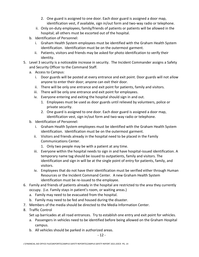- 2. One guard is assigned to one door. Each door guard is assigned a door map, identification vest, if available, sign in/out form and two-way radio or telephone.
- ii. Only on-duty employees, family/friends of patients or patients will be allowed in the hospital; all others must be escorted out of the hospital.
- b. Identification of Personnel:
	- i. Graham Health System employees must be identified with the Graham Health System identification. Identification must be on the outermost garment.
	- ii. Patients, visitors and friends may be asked for photo identification to verify their identity.
- 5. Level 3 security is a noticeable increase in security. The Incident Commander assigns a Safety and Security Officer to the Command Staff.
	- a. Access to Campus:
		- i. Door guards will be posted at every entrance and exit point. Door guards will not allow anyone to enter their door; anyone can exit their door.
		- ii. There will be only one entrance and exit point for patients, family and visitors.
		- iii. There will be only one entrance and exit point for employees.
		- iv. Everyone entering and exiting the hospital should sign in and out.
			- 1. Employees must be used as door guards until relieved by volunteers, police or private security.
			- 2. One guard is assigned to one door. Each door guard is assigned a door map, identification vest, sign in/out form and two-way radio or telephone.
	- b. Identification of Personnel:
		- i. Graham Health System employees must be identified with the Graham Health System identification. Identification must be on the outermost garment.
		- ii. Visitors and friends already in the hospital need to be placed in the Family Communications Center.
			- 1. Only two people may be with a patient at any time.
		- iii. Everyone within the hospital needs to sign in and have hospital-issued identification. A temporary name tag should be issued to outpatients, family and visitors. The identification and sign in will be at the single point of entry for patients, family, and visitors.
		- iv. Employees that do not have their identification must be verified either through Human Resources or the Incident Command Center. A new Graham Health System identification must be re-issued to the employee.
- 6. Family and friends of patients already in the hospital are restricted to the area they currently occupy. (i.e. Family stays in patient's room, or waiting areas.)
	- a. Family may need to be evacuated from the hospital.
	- b. Family may need to be fed and housed during the disaster.
- 7. Members of the media should be directed to the Media Information Center.
- 8. Traffic Control

Set up barricades at all road entrances. Try to establish one entry and exit point for vehicles.

- a. Passengers in vehicles need to be identified before being allowed on the Graham Hospital campus.
- b. All vehicles should be parked in authorized areas.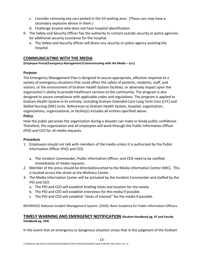- c. Consider removing any cars parked in the ED waiting area. (These cars may have a secondary explosive device in them.)
- d. Challenge anyone who does not have hospital identification.
- 9. The Safety and Security Officer has the authority to contact outside security or police agencies for additional security assistance for the hospital.
	- a. The Safety and Security officer will direct any security or police agency assisting the hospital.

# **COMMUNICATING WITH THE MEDIA**

**(Employee Portal/Emergency Management/Communicating with the Media – 8/21)**

# **Purpose**

The Emergency Management Plan is designed to assure appropriate, effective response to a variety of emergency situations that could affect the safety of patients, residents, staff, and visitors, or the environment of Graham Health System facilities, or adversely impact upon the organization's ability to provide healthcare services to the community. The program is also designed to assure compliance with applicable codes and regulations. The program is applied to Graham Health System in its entirety, including Graham Extended Care Long Term Care (LTC) and Skilled Nursing (SNF) Units. References to Graham Health System, hospital, organization, organizations, organizational, or facility(s) includes all entities specified above. **Policy**

How the public perceives the organization during a disaster can make or break public confidence. Therefore, the organization and all employees will work through the Public Information Officer (PIO) and CEO for all media requests.

# **Procedure**

- 1. Employees should not talk with members of the media unless it is authorized by the Public Information Officer (PIO) and CEO.
	- a. The Incident Commander, Public Information Officer, and CEO need to be notified immediately of media requests.
- 2. Member of the press should be directed/escorted to the Media Information Center (MIC). This is located across the street at the Wellness Center.
- 3. The Media Information Center will be activated by the Incident Commander and staffed by the PIO and CEO.
	- a. The PIO and CEO will establish briefing times and location for the media.
	- b. The PIO and CEO will establish interviews for the media if possible.
	- c. The PIO and CEO will establish "shots of interest" for the media if possible.

REFERENCE National Incident Management System. (2020). Basic Guidance for Public Information Officers.

# **TIMELY WARNING AND EMERGENCY NOTIFICATION (Student Handbook pg. 47 and Faculty Handbook pg. 104)**

In the event that an emergency or dangerous situation arises that in the judgment of the Graham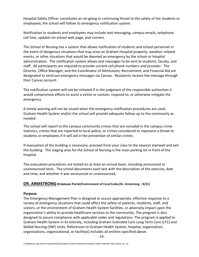Hospital Safety Officer constitutes an on-going or continuing threat to the safety of the students or employees, the school will follow its emergency notification system.

Notification to students and employees may include text messaging, campus emails, telephone call tree, updates on school web page, and runners.

The School of Nursing has a system that allows notification of students and school personnel in the event of dangerous situations that may arise on Graham Hospital property, weather-related events, or other situations that would be deemed an emergency by the school or hospital administration. The notification system allows text messages to be sent to students, faculty, and staff. All participants are required to provide current cell phone numbers and provider. The Director, Office Manager, and the Coordinator of Admissions, Recruitment, and Financial Aid are designated to send out emergency messages via Canvas. Recipients receive the message through their Canvas account.

The notification system will not be initiated if in the judgment of the responsible authorities it would compromise efforts to assist a victim or contain, respond to, or otherwise mitigate the emergency.

A timely warning will not be issued when the emergency notification procedures are used. Graham Health System and/or the school will provide adequate follow-up to the community as needed.

The school will report to the campus community crimes that are included in the campus crime statistics, crimes that are reported to local police, or crimes considered to represent a threat to students or employees if it will aid in the prevention of similar crimes.

If evacuation of the building is necessary, proceed from your class to the nearest stairwell and exit the building. The staging area for the School of Nursing is the main parking lot in front of the hospital.

The evacuation procedures are tested on at least an annual basis, including announced or unannounced tests. The school documents each test with the description of the exercise, date and time, and whether it was announced or unannounced.

# **DR. ARMSTRONG(Employee Portal/Environment of Care/Codes/Dr. Armstrong – 8/21)**

# **Purpose**

The Emergency Management Plan is designed to assure appropriate, effective response to a variety of emergency situations that could affect the safety of patients, residents, staff, and visitors, or the environment of Graham Health System facilities, or adversely impact upon the organization's ability to provide healthcare services to the community. The program is also designed to assure compliance with applicable codes and regulations. The program is applied to Graham Health System in its entirety, including Graham Extended Care Long Term Care (LTC) and Skilled Nursing (SNF) Units. References to Graham Health System, hospital, organization, organizations, organizational, or facility(s) includes all entities specified above.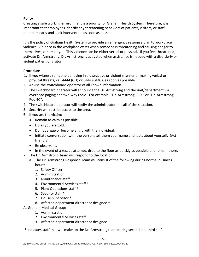# **Policy**

Creating a safe working environment is a priority for Graham Health System. Therefore, it is important that employees identify any threatening behaviors of patients, visitors, or staff members early and seek intervention as soon as possible.

It is the policy of Graham Health System to provide an emergency response plan to workplace violence. Violence in the workplace exists when someone is threatening and causing danger to themselves, others or you. This violence can be either verbal or physical. If you feel threatened, activate Dr. Armstrong. Dr. Armstrong is activated when assistance is needed with a disorderly or violent patient or visitor.

# **Procedure**

- 1. If you witness someone behaving in a disruptive or violent manner or making verbal or physical threats, call 4444 (GH) or 8444 (GMG), as soon as possible.
- 2. Advise the switchboard operator of all known information.
- 3. The switchboard operator will announce the Dr. Armstrong and the unit/department via overhead paging and two-way radio. For example, "Dr. Armstrong, E.D." or "Dr. Armstrong, Pod 4C".
- 4. The switchboard operator will notify the administrator on call of the situation.
- 5. Security will restrict access to the area.
- 6. If you are the victim:
	- Remain as calm as possible.
	- Do as you are told.
	- Do not argue or become angry with the individual.
	- Initiate conversation with the person; tell them your name and facts about yourself. (Act friendly)
	- Be observant.
	- In the event of a rescue attempt, drop to the floor as quickly as possible and remain there.
- 7. The Dr. Armstrong Team will respond to the location.
	- a. The Dr. Armstrong Response Team will consist of the following during normal business hours:
		- 1. Safety Officer
		- 2. Administration
		- 3. Maintenance staff
		- 4. Environmental Services staff \*
		- 5. Plant Operations staff \*
		- 6. Security staff \*
		- 7. House Supervisor \*
		- 8. Affected department director or designee \*
- At Graham Medical Group:
	- 1. Administration
	- 2. Environmental Services staff
	- 3. Affected department director or designee
- \* indicates staff that will make up the Dr. Armstrong team during second and third shift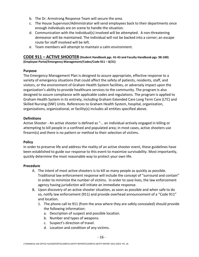- b. The Dr. Armstrong Response Team will secure the area.
- c. The House Supervisor/Administrator will send employees back to their departments once enough individuals are on scene to handle the situation.
- d. Communication with the individual(s) involved will be attempted. A non-threatening demeanor will be maintained. The individual will not be backed into a corner; an escape route for staff involved will be left.
- e. Team members will attempt to maintain a calm environment.

**CODE 911 – ACTIVE SHOOTER (Student Handbook pgs. 41-43 and Faculty Handbook pgs. 98-100) (Employee Portal/Emergency Management/Codes/Code 911 – 8/21)**

#### **Purpose**

The Emergency Management Plan is designed to assure appropriate, effective response to a variety of emergency situations that could affect the safety of patients, residents, staff, and visitors, or the environment of Graham Health System facilities, or adversely impact upon the organization's ability to provide healthcare services to the community. The program is also designed to assure compliance with applicable codes and regulations. The program is applied to Graham Health System in its entirety, including Graham Extended Care Long Term Care (LTC) and Skilled Nursing (SNF) Units. References to Graham Health System, hospital, organization, organizations, organizational, or facility(s) includes all entities specified above.

#### **Definitions**

Active Shooter - An active shooter is defined as "... an individual actively engaged in killing or attempting to kill people in a confined and populated area; in most cases, active shooters use firearm(s) and there is no pattern or method to their selection of victims.

#### **Policy**

In order to preserve life and address the reality of an active shooter event, these guidelines have been established to guide our response to this event to maximize survivability. Most importantly, quickly determine the most reasonable way to protect your own life.

#### **Procedure**

- A. The intent of most active shooters is to kill as many people as quickly as possible. Traditional law enforcement response will include the concept of "surround and contain" in order to minimize the number of victims. In order to save lives, the law enforcement agency having jurisdiction will initiate an immediate response.
- B. Upon discovery of an active shooter situation, as soon as possible and when safe to do so, notify law enforcement (911) and provide overhead announcement of a "Code 911" and location.
	- 1. The phone call to 911 (from the area where they are safely concealed) should provide the following information:
		- a. Description of suspect and possible location.
		- b. Number and types of weapons.
		- c. Suspect's direction of travel.
		- d. Location and condition of any victims.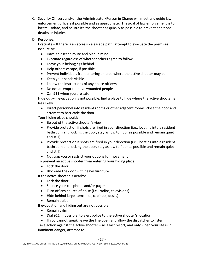- C. Security Officers and/or the Administrator/Person in Charge will meet and guide law enforcement officers if possible and as appropriate. The goal of law enforcement is to locate, isolate, and neutralize the shooter as quickly as possible to prevent additional deaths or injuries.
- D. Response:

Evacuate – If there is an accessible escape path, attempt to evacuate the premises. Be sure to:

- Have an escape route and plan in mind
- Evacuate regardless of whether others agree to follow
- Leave your belongings behind
- Help others escape, if possible
- Prevent individuals from entering an area where the active shooter may be
- Keep your hands visible
- Follow the instructions of any police officers
- Do not attempt to move wounded people
- Call 911 when you are safe

Hide out – if evacuation is not possible, find a place to hide where the active shooter is less likely.

• Direct personnel into resident rooms or other adjacent rooms, close the door and attempt to barricade the door.

Your hiding place should:

- Be out of the active shooter's view
- Provide protection if shots are fired in your direction (i.e., locating into a resident bathroom and locking the door, stay as low to floor as possible and remain quiet and still)
- Provide protection if shots are fired in your direction (i.e., locating into a resident bathroom and locking the door, stay as low to floor as possible and remain quiet and still)
- Not trap you or restrict your options for movement

To prevent an active shooter from entering your hiding place:

- Lock the door
- Blockade the door with heavy furniture

If the active shooter is nearby:

- Lock the door
- Silence your cell phone and/or pager
- Turn off any source of noise (i.e., radios, televisions)
- Hide behind large items (i.e., cabinets, desks)
- Remain quiet

If evacuation and hiding out are not possible:

- Remain calm
- Dial 911, if possible, to alert police to the active shooter's location
- If you cannot speak, leave the line open and allow the dispatcher to listen

Take action against the active shooter – As a last resort, and only when your life is in imminent danger, attempt to: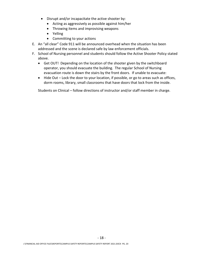- Disrupt and/or incapacitate the active shooter by:
	- Acting as aggressively as possible against him/her
	- Throwing items and improvising weapons
	- Yelling
	- Committing to your actions
- E. An "all clear" Code 911 will be announced overhead when the situation has been addressed and the scene is declared safe by law enforcement officials.
- F. School of Nursing personnel and students should follow the Active Shooter Policy stated above.
	- Get OUT! Depending on the location of the shooter given by the switchboard operator, you should evacuate the building. The regular School of Nursing evacuation route is down the stairs by the front doors. If unable to evacuate:
	- Hide Out Lock the door to your location, if possible, or go to areas such as offices, dorm rooms, library, small classrooms that have doors that lock from the inside.

Students on Clinical – follow directions of instructor and/or staff member in charge.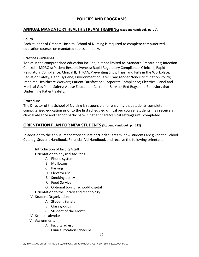# **POLICIES AND PROGRAMS**

# **ANNUAL MANDATORY HEALTH STREAM TRAINING (Student Handbook, pg. 70).**

#### **Policy**

Each student of Graham Hospital School of Nursing is required to complete computerized education courses on mandated topics annually.

#### **Practice Guidelines**

Topics in the computerized education include, but not limited to: Standard Precautions; Infection Control – MDRO's; Patient Responsiveness; Rapid Regulatory Compliance: Clinical I; Rapid Regulatory Compliance: Clinical II; HIPAA; Preventing Slips, Trips, and Falls in the Workplace; Radiation Safety; Hand Hygiene; Environment of Care: Transgender Nondiscrimination Policy; Impaired Healthcare Workers; Patient Satisfaction; Corporate Compliance; Electrical Panel and Medical Gas Panel Safety; Abuse Education; Customer Service; Bed Bugs; and Behaviors that Undermine Patient Safety.

#### **Procedure**

The Director of the School of Nursing is responsible for ensuring that students complete computerized education prior to the first scheduled clinical per course. Students may receive a clinical absence and cannot participate in patient care/clinical settings until completed.

# **ORIENTATION PLAN FOR NEW STUDENTS (Student Handbook, pg. 112)**

In addition to the annual mandatory education/Health Stream, new students are given the School Catalog, Student Handbook, Financial Aid Handbook and receive the following orientation:

- I. Introduction of faculty/staff
- II. Orientation to physical facilities
	- A. Phone system
	- B. Mailboxes
	- C. Parking
	- D. Elevator use
	- E. Smoking policy
	- F. Food Service
	- G. Optional tour of school/hospital
- III. Orientation to the library and technology
- IV. Student Organizations
	- A. Student Senate
	- B. Class groups
	- C. Student of the Month
- V. School calendar
- VI. Assignments
	- A. Faculty advisor
	- B. Clinical rotation schedule

- 19 -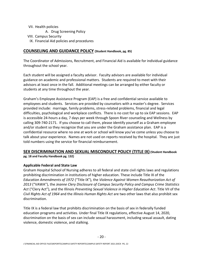- VII. Health policies
	- A. Drug Screening Policy
- VIII. Campus Security
	- IX. Financial Aid policies and procedures

# **COUNSELING AND GUIDANCE POLICY (Student Handbook, pg. 85)**

The Coordinator of Admissions, Recruitment, and Financial Aid is available for individual guidance throughout the school year.

Each student will be assigned a faculty advisor. Faculty advisors are available for individual guidance on academic and professional matters. Students are required to meet with their advisors at least once in the fall. Additional meetings can be arranged by either faculty or students at any time throughout the year.

Graham's Employee Assistance Program (EAP) is a free and confidential service available to employees and students. Services are provided by counselors with a master's degree. Services provided include: marriage, family problems, stress-related problems, financial and legal difficulties, psychological and workplace conflicts. There is no cost for up to six EAP sessions. EAP is accessible 24-hours a day, 7 days per week through Spoon River counseling and Wellness by calling 309-740-2171. If you choose to call them, please identify yourself as a Graham employee and/or student so they recognize that you are under the Graham assistance plan. EAP is a confidential resource where no one at work or school will know you've come unless you choose to talk about your experience. Names are not used on reports received by the hospital. They are just told numbers using the service for financial reimbursement.

# **SEX DISCRIMINATION AND SEXUAL MISCONDUCT POLICY (TITLE IX) (Student Handbook**

**pg. 18 and Faculty Handbook pg. 132)**

# **Applicable Federal and State Law**

Graham Hospital School of Nursing adheres to all federal and state civil rights laws and regulations prohibiting discrimination in institutions of higher education. These include Title IX of the *Education Amendments of 1972* ("Title IX"), the *Violence Against Women Reauthorization Act of 2013* ("VAWA"), the *Jeanne Clery Disclosure of Campus Security Policy and Campus Crime Statistics Act* ("Clery Act"), and the Illinois *Preventing Sexual Violence in Higher Education Act*. Title VII of the *Civil Rights Act of 1964* and the *Illinois Human Rights Act* are two other laws that also prohibit sex discrimination.

Title IX is a federal law that prohibits discrimination on the basis of sex in federally funded education programs and activities. Under final Title IX regulations, effective August 14, 2020, discrimination on the basis of sex can include sexual harassment, including sexual assault, dating violence, domestic violence, and stalking.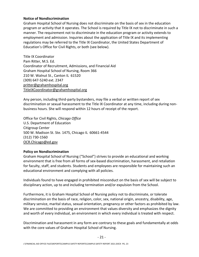#### **Notice of Nondiscrimination**

Graham Hospital School of Nursing does not discriminate on the basis of sex in the education program or activity that it operates. The School is required by Title IX not to discriminate in such a manner. The requirement not to discriminate in the education program or activity extends to employment and admission. Inquiries about the application of Title IX and its implementing regulations may be referred to the Title IX Coordinator, the United States Department of Education's Office for Civil Rights, or both (see below).

Title IX Coordinator Pam Ritter, M.S. Ed. Coordinator of Recruitment, Admissions, and Financial Aid Graham Hospital School of Nursing, Room 366 210 W. Walnut St., Canton IL 61520 (309) 647-5240 ext. 2347 [pritter@grahamhospital.org](mailto:pritter@grahamhospital.org) [TitleIXCoordinator@grahamhospital.org](mailto:TitleIXCoordinator@grahamhospital.org)

Any person, including third-party bystanders, may file a verbal or written report of sex discrimination or sexual harassment to the Title IX Coordinator at any time, including during nonbusiness hours. She will respond within 12 hours of receipt of the report.

Office for Civil Rights, *Chicago Office* U.S. Department of Education Citigroup Center 500 W. Madison St. Ste. 1475, Chicago IL 60661-4544 (312) 730-1560 [OCR.Chicago@ed.gov](mailto:OCR.Chicago@ed.gov)

#### **Policy on Nondiscrimination**

Graham Hospital School of Nursing ("School") strives to provide an educational and working environment that is free from all forms of sex-based discrimination, harassment, and retaliation for faculty, staff, and students. Students and employees are responsible for maintaining such an educational environment and complying with all policies.

Individuals found to have engaged in prohibited misconduct on the basis of sex will be subject to disciplinary action, up to and including termination and/or expulsion from the School.

Furthermore, it is Graham Hospital School of Nursing policy not to discriminate, or tolerate discrimination on the basis of race, religion, color, sex, national origin, ancestry, disability, age, military service, marital status, sexual orientation, pregnancy or other factors as prohibited by law. We are committed to providing an environment that values diversity and emphasizes the dignity and worth of every individual, an environment in which every individual is treated with respect.

Discrimination and harassment in any form are contrary to these goals and fundamentally at odds with the core values of Graham Hospital School of Nursing.

- 21 -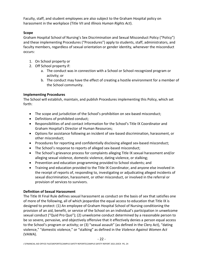Faculty, staff, and student employees are also subject to the Graham Hospital policy on harassment in the workplace (Title VII and *Illinois Human Rights Act*).

# **Scope**

Graham Hospital School of Nursing's Sex Discrimination and Sexual Misconduct Policy ("Policy") and these implementing Procedures ("Procedures") apply to students, staff, administrators, and faculty members, regardless of sexual orientation or gender identity, whenever the misconduct occurs:

- 1. On School property or
- 2. Off School property if:
	- a. The conduct was in connection with a School or School-recognized program or activity; or
	- b. The conduct may have the effect of creating a hostile environment for a member of the School community.

# **Implementing Procedures**

The School will establish, maintain, and publish Procedures implementing this Policy, which set forth:

- The scope and jurisdiction of the School's prohibition on sex-based misconduct;
- Definitions of prohibited conduct;
- Responsibilities of and contact information for the School's Title IX Coordinator and Graham Hospital's Director of Human Resources;
- Options for assistance following an incident of sex-based discrimination, harassment, or other misconduct;
- Procedures for reporting and confidentially disclosing alleged sex-based misconduct;
- The School's response to reports of alleged sex-based misconduct;
- The School's grievance process for complaints alleging Title IX sexual harassment and/or alleging sexual violence, domestic violence, dating violence, or stalking;
- Prevention and education programming provided to School students; and
- Training and education provided to the Title IX Coordinator, and anyone else involved in the receipt of reports of, responding to, investigating or adjudicating alleged incidents of sexual discrimination, harassment, or other misconduct, or involved in the referral or provision of services to survivors.

# **Definition of Sexual Harassment**

The Title IX Final Rule defines sexual harassment as conduct on the basis of sex that satisfies one of more of the following, all of which jeopardize the equal access to education that Title IX is designed to protect: (1) An employee of Graham Hospital School of Nursing conditioning the provision of an aid, benefit, or service of the School on an individual's participation in unwelcome sexual conduct ("Quid Pro Quo"); (2) unwelcome conduct determined by a reasonable person to be so severe, pervasive, and objectively offensive that it effectively denies a person equal access to the School's program or activity; or (3) "sexual assault" (as defined in the Clery Act), "dating violence," "domestic violence," or "stalking" as defined in the *Violence Against Women Act* (VAWA).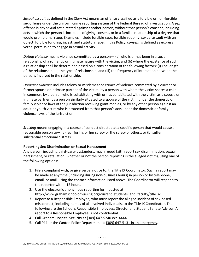*Sexual assault* as defined in the Clery Act means an offense classified as a forcible or non-forcible sex offense under the uniform crime reporting system of the Federal Bureau of Investigation. A sex offense is any sexual act directed against another person, without that person's consent, including acts in which the person is incapable of giving consent, or in a familial relationship of a degree that would prohibit marriage. Examples include forcible rape, forcible sodomy, sexual assault with an object, forcible fondling, incest, and statutory rape. In this Policy, *consent* is defined as express verbal permission to engage in sexual activity.

*Dating violence* means violence committed by a person— (a) who is or has been in a social relationship of a romantic or intimate nature with the victim; and (b) where the existence of such a relationship shall be determined based on a consideration of the following factors: (i) The length of the relationship, (ii) the type of relationship, and (iii) the frequency of interaction between the persons involved in the relationship.

*Domestic Violence* includes felony or misdemeanor crimes of violence committed by a current or former spouse or intimate partner of the victim, by a person with whom the victim shares a child in common, by a person who is cohabitating with or has cohabitated with the victim as a spouse or intimate partner, by a person similarly situated to a spouse of the victim under the domestic or family violence laws of the jurisdiction receiving grant monies, or by any other person against an adult or youth victim who is protected from that person's acts under the domestic or family violence laws of the jurisdiction.

*Stalking* means engaging in a course of conduct directed at a specific person that would cause a reasonable person to— (a) fear for his or her safety or the safety of others; or (b) suffer substantial emotional distress.

# **Reporting Sex Discrimination or Sexual Harassment**

Any person, including third-party bystanders, may in good faith report sex discrimination, sexual harassment, or retaliation (whether or not the person reporting is the alleged victim), using one of the following options:

- 1. File a complaint with, or give verbal notice to, the Title IX Coordinator. Such a report may be made at any time (including during non-business hours) in person or by telephone, email, or mail, using the contact information listed above. The Coordinator will respond to the reporter within 12 hours.
- 2. Use the electronic anonymous reporting form posted at [http://www.grahamschoolofnursing.org/current\\_students\\_and\\_faculty/title\\_ix.](http://www.grahamschoolofnursing.org/current_students_and_faculty/title_ix)
- 3. Report to a Responsible Employee, who must report the alleged incident of sex-based misconduct, including names of all involved individuals, to the Title IX Coordinator. The following are the School's Responsible Employees: Director and Student Senate Advisor. A report to a Responsible Employee is not confidential.
- 4. Call Graham Hospital Security at (309) 647-5240 ext. 4444.
- 5. Call 911 or the Canton Police Department at [\(309\) 647-5131](https://www.google.com/search?q=canton+il+police&oq=canton+il+police&aqs=chrome..69i57.4558j0j7&sourceid=chrome&ie=UTF-8) in an emergency.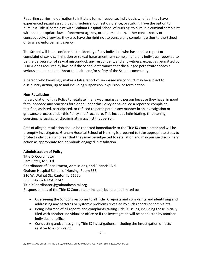Reporting carries no obligation to initiate a formal response. Individuals who feel they have experienced sexual assault, dating violence, domestic violence, or stalking have the option to pursue a Title IX complaint with Graham Hospital School of Nursing, to pursue a criminal complaint with the appropriate law enforcement agency, or to pursue both, either concurrently or consecutively. Likewise, they also have the right not to pursue any complaint either to the School or to a law enforcement agency.

The School will keep confidential the identity of any individual who has made a report or complaint of sex discrimination or sexual harassment, any complainant, any individual reported to be the perpetrator of sexual misconduct, any respondent, and any witness, except as permitted by FERPA or as required by law, or if the School determines that the alleged perpetrator poses a serious and immediate threat to health and/or safety of the School community.

A person who knowingly makes a false report of sex-based misconduct may be subject to disciplinary action, up to and including suspension, expulsion, or termination.

#### **Non-Retaliation**

It is a violation of this Policy to retaliate in any way against any person because they have, in good faith, opposed any practices forbidden under this Policy or have filed a report or complaint, testified, assisted, participated, or refused to participate in any manner in an investigation or grievance process under this Policy and Procedure. This includes intimidating, threatening, coercing, harassing, or discriminating against that person.

Acts of alleged retaliation should be reported immediately to the Title IX Coordinator and will be promptly investigated. Graham Hospital School of Nursing is prepared to take appropriate steps to protect individuals who fear that they may be subjected to retaliation and may pursue disciplinary action as appropriate for individuals engaged in retaliation.

# **Administration of Policy**

Title IX Coordinator Pam Ritter, M.S. Ed. Coordinator of Recruitment, Admissions, and Financial Aid Graham Hospital School of Nursing, Room 366 210 W. Walnut St., Canton IL 61520 (309) 647-5240 ext. 2347 [TitleIXCoordinator@grahamhospital.org](mailto:TitleIXCoordinator@grahamhospital.org) Responsibilities of the Title IX Coordinator include, but are not limited to:

- Overseeing the School's response to all Title IX reports and complaints and identifying and addressing any patterns or systemic problems revealed by such reports or complaints.
- Being informed of all reports and complaints raising Title IX issues, including those initially filed with another individual or office or if the investigation will be conducted by another individual or office.
- Conducting and/or assigning Title IX investigations, including the investigation of facts relative to a complaint.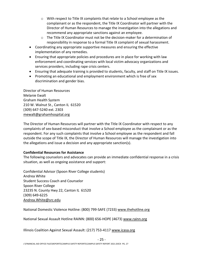- $\circ$  With respect to Title IX complaints that relate to a School employee as the complainant or as the respondent, the Title IX Coordinator will partner with the Director of Human Resources to manage the investigation into the allegations and recommend any appropriate sanctions against an employee.
- o The Title IX Coordinator must not be the decision-maker for a determination of responsibility in response to a formal Title IX complaint of sexual harassment.
- Coordinating any appropriate supportive measures and ensuring the effective implementation of any remedies.
- Ensuring that appropriate policies and procedures are in place for working with law enforcement and coordinating services with local victim advocacy organizations and services providers, including rape crisis centers.
- Ensuring that adequate training is provided to students, faculty, and staff on Title IX issues.
- Promoting an educational and employment environment which is free of sex discrimination and gender bias.

Director of Human Resources Melanie Ewalt Graham Health System 210 W. Walnut St., Canton IL 61520 (309) 647-5240 ext. 2303 [mewalt@grahamhospital.org](mailto:mewalt@grahamhospital.org)

The Director of Human Resources will partner with the Title IX Coordinator with respect to any complaints of sex-based misconduct that involve a School employee as the complainant or as the respondent. For any such complaints that involve a School employee as the respondent and fall outside the scope of Title IX, the Director of Human Resources will manage the investigation into the allegations and issue a decision and any appropriate sanction(s).

# **Confidential Resources for Assistance**

The following counselors and advocates can provide an immediate confidential response in a crisis situation, as well as ongoing assistance and support:

Confidential Advisor (Spoon River College students) Andrea White Student Success Coach and Counselor Spoon River College 23235 N. County Hwy 22, Canton IL 61520 (309) 649-6225 [Andrea.White@src.edu](mailto:Andrea.White@src.edu)

National Domestic Violence Hotline: (800) 799-SAFE (7233) [www.thehotline.org](http://www.thehotline.org/) 

National Sexual Assault Hotline RAINN: (800) 656-HOPE (4673) [www.rainn.org](http://www.rainn.org/) 

Illinois Coalition Against Sexual Assault: (217) 753-4117 [www.icasa.org](http://www.icasa.org/)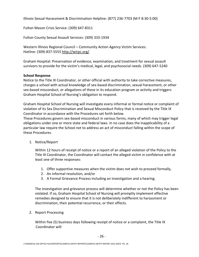Illinois Sexual Harassment & Discrimination Helpline: (877) 236-7703 (M-F 8:30-5:00)

Fulton Mason Crisis Service: (309) 647-8311

Fulton County Sexual Assault Services: (309) 333-1934

Western Illinois Regional Council – Community Action Agency Victim Services: Hotline: (309) 837-555[5 http://wirpc.org/](http://wirpc.org/)

Graham Hospital: Preservation of evidence, examination, and treatment for sexual assault survivors to provide for the victim's medical, legal, and psychosocial needs. (309) 647-5240

#### **School Response**

Notice to the Title IX Coordinator, or other official with authority to take corrective measures, charges a school with actual knowledge of sex-based discrimination, sexual harassment, or other sex-based misconduct, or allegations of these in its education program or activity and triggers Graham Hospital School of Nursing's obligation to respond.

Graham Hospital School of Nursing will investigate every informal or formal notice or complaint of violation of its Sex Discrimination and Sexual Misconduct Policy that is received by the Title IX Coordinator in accordance with the Procedures set forth below.

These Procedures govern sex-based misconduct in various forms, many of which may trigger legal obligations under one or more state and federal laws. In no case does the inapplicability of a particular law require the School not to address an act of misconduct falling within the scope of these Procedures.

1. Notice/Report

Within 12 hours of receipt of notice or a report of an alleged violation of the Policy to the Title IX Coordinator, the Coordinator will contact the alleged victim in confidence with at least one of three responses:

- 1. Offer supportive measures when the victim does not wish to proceed formally,
- 2. An informal resolution, and/or
- 3. A Formal Grievance Process including an investigation and a hearing.

The investigation and grievance process will determine whether or not the Policy has been violated. If so, Graham Hospital School of Nursing will promptly implement effective remedies designed to ensure that it is not deliberately indifferent to harassment or discrimination, their potential recurrence, or their effects.

2. Report Processing

Within five (5) business days following receipt of notice or a complaint, the Title IX Coordinator will: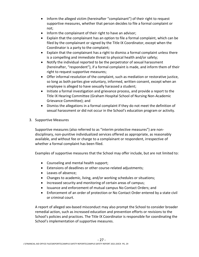- Inform the alleged victim (hereinafter "complainant") of their right to request supportive measures, whether that person decides to file a formal complaint or not;
- Inform the complainant of their right to have an advisor;
- Explain that the complainant has an option to file a formal complaint, which can be filed by the complainant or signed by the Title IX Coordinator, except when the Coordinator is a party to the complaint;
- Explain that the complainant has a right to dismiss a formal complaint unless there is a compelling and immediate threat to physical health and/or safety;
- Notify the individual reported to be the perpetrator of sexual harassment (hereinafter, "respondent"), if a formal complaint is made, and inform them of their right to request supportive measures;
- Offer informal resolution of the complaint, such as mediation or restorative justice, so long as both parties give voluntary, informed, written consent, except when an employee is alleged to have sexually harassed a student;
- Initiate a formal investigation and grievance process, and provide a report to the Title IX Hearing Committee (Graham Hospital School of Nursing Non-Academic Grievance Committee); and
- Dismiss the allegations in a formal complaint if they do not meet the definition of sexual harassment or did not occur in the School's education program or activity.
- 3. Supportive Measures

Supportive measures (also referred to as "interim protective measures") are nondisciplinary, non-punitive individualized services offered as appropriate, as reasonably available, and without fee or charge to a complainant or respondent, irrespective of whether a formal complaint has been filed.

Examples of supportive measures that the School may offer include, but are not limited to:

- Counseling and mental health support;
- Extensions of deadlines or other course-related adjustments;
- Leaves of absence;
- Changes to academic, living, and/or working schedules or situations;
- Increased security and monitoring of certain areas of campus;
- Issuance and enforcement of mutual campus No Contact Orders; and
- Enforcement of an order of protection or No Contact Order entered by a state civil or criminal court.

A report of alleged sex-based misconduct may also prompt the School to consider broader remedial action, such as increased education and prevention efforts or revisions to the School's policies and practices. The Title IX Coordinator is responsible for coordinating the School's implementation of supportive measures.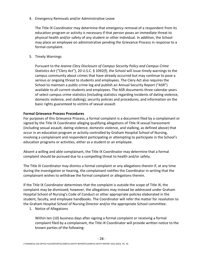4. Emergency Removals and/or Administrative Leave

The Title IX Coordinator may determine that emergency removal of a respondent from its education program or activity is necessary if that person poses an immediate threat to physical health and/or safety of any student or other individual. In addition, the School may place an employee on administrative pending the Grievance Process in response to a formal complaint.

5. Timely Warnings

Pursuant to the *Jeanne Clery Disclosure of Campus Security Policy and Campus Crime Statistics Act* ("Clery Act"), 20 U.S.C. § 1092(f), the School will issue timely warnings to the campus community about crimes that have already occurred but may continue to pose a serious or ongoing threat to students and employees. The Clery Act also requires the School to maintain a public crime log and publish an Annual Security Report ("ASR") available to all current students and employees. The ASR documents three calendar years of select campus crime statistics (including statistics regarding incidents of dating violence, domestic violence, and stalking), security policies and procedures, and information on the basic rights guaranteed to victims of sexual assault.

#### **Formal Grievance Process Procedures**

For purposes of this Grievance Process, a formal complaint is a document filed by a complainant or signed by the Title IX Coordinator alleging qualifying allegations of Title IX sexual harassment (including sexual assault, dating violence, domestic violence, and stalking, as defined above) that occur in an education program or activity controlled by Graham Hospital School of Nursing, involving a complainant and respondent participating or attempting to participate in the School's education programs or activities, either as a student or an employee.

Absent a willing and able complainant, the Title IX Coordinator may determine that a formal complaint should be pursued due to a compelling threat to health and/or safety.

The Title IX Coordinator may dismiss a formal complaint or any allegations therein if, at any time during the investigation or hearing, the complainant notifies the Coordinator in writing that the complainant wishes to withdraw the formal complaint or allegations therein.

If the Title IX Coordinator determines that the complaint is outside the scope of Title IX, the complaint may be dismissed; however, the allegations may instead be addressed under Graham Hospital School of Nursing's Code of Conduct or other appropriate policies elaborated in the student, faculty, and employee handbooks. The Coordinator will refer the matter for resolution to the Graham Hospital School of Nursing Director and/or the appropriate School committee.

1. Notice of Allegations

Within ten (10) business days after signing a formal complaint or receiving a formal complaint filed by a complainant, the Title IX Coordinator will provide written notice to the known parties of the following: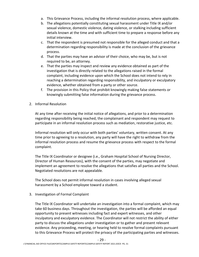- a. This Grievance Process, including the informal resolution process, where applicable.
- b. The allegations potentially constituting sexual harassment under Title IX and/or sexual violence, domestic violence, dating violence, or stalking including sufficient details known at the time and with sufficient time to prepare a response before any initial interview.
- c. That the respondent is presumed not responsible for the alleged conduct and that a determination regarding responsibility is made at the conclusion of the grievance process.
- d. That the parties may have an advisor of their choice, who may be, but is not required to be, an attorney.
- e. That the parties may inspect and review any evidence obtained as part of the investigation that is directly related to the allegations raised in the formal complaint, including evidence upon which the School does not intend to rely in reaching a determination regarding responsibility, and inculpatory or exculpatory evidence, whether obtained from a party or other source.
- f. The provision in this Policy that prohibit knowingly making false statements or knowingly submitting false information during the grievance process.
- 2. Informal Resolution

At any time after receiving the initial notice of allegations, and prior to a determination regarding responsibility being reached, the complainant and respondent may request to participate in an informal resolution process such as mediation, restorative justice, etc.

Informal resolution will only occur with both parties' voluntary, written consent. At any time prior to agreeing to a resolution, any party will have the right to withdraw from the informal resolution process and resume the grievance process with respect to the formal complaint.

The Title IX Coordinator or designee (i.e., Graham Hospital School of Nursing Director, Director of Human Resources), with the consent of the parties, may negotiate and implement an agreement to resolve the allegations that satisfies all parties and the School. Negotiated resolutions are not appealable.

The School does not permit informal resolution in cases involving alleged sexual harassment by a School employee toward a student.

3. Investigation of Formal Complaint

The Title IX Coordinator will undertake an investigation into a formal complaint, which may take 60 business days. Throughout the investigation, the parties will be afforded an equal opportunity to present witnesses including fact and expert witnesses, and other inculpatory and exculpatory evidence. The Coordinator will not restrict the ability of either party to discuss the allegations under investigation or to gather and present relevant evidence. Any proceeding, meeting, or hearing held to resolve formal complaints pursuant to this Grievance Process will protect the privacy of the participating parties and witnesses.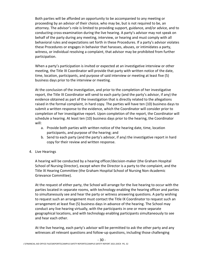Both parties will be afforded an opportunity to be accompanied to any meeting or proceeding by an advisor of their choice, who may be, but is not required to be, an attorney. The advisor's role is limited to providing support, guidance, and/or advice, and to conducting cross-examination during the live hearing. A party's advisor may not speak on behalf of the party during any meeting, interview, or hearing and must comply with all behavioral rules and expectations set forth in these Procedures. If a party's advisor violates these Procedures or engages in behavior that harasses, abuses, or intimidates a party, witness, or individual resolving a complaint, that advisor may be prohibited from further participation.

When a party's participation is invited or expected at an investigative interview or other meeting, the Title IX Coordinator will provide that party with written notice of the date, time, location, participants, and purpose of said interview or meeting at least five (5) business days prior to the interview or meeting.

At the conclusion of the investigation, and prior to the completion of her investigative report, the Title IX Coordinator will send to each party (and the party's advisor, if any) the evidence obtained as part of the investigation that is directly related to the allegations raised in the formal complaint, in hard copy. The parties will have ten (10) business days to submit a written response to the evidence, which the Coordinator will consider prior to completion of her investigative report. Upon completion of the report, the Coordinator will schedule a hearing. At least ten (10) business days prior to the hearing, the Coordinator will:

- a. Provide both parties with written notice of the hearing date, time, location participants, and purpose of the hearing; and
- b. Send to each party (and the party's advisor, if any) the investigative report in hard copy for their review and written response.
- 4. Live Hearings

A hearing will be conducted by a hearing officer/decision-maker (the Graham Hospital School of Nursing Director), except when the Director is a party to the complaint, and the Title IX Hearing Committee (the Graham Hospital School of Nursing Non-Academic Grievance Committee).

At the request of either party, the School will arrange for the live hearing to occur with the parties located in separate rooms, with technology enabling the hearing officer and parties to simultaneously see and hear the party or witness answering questions. A party wishing to request such an arrangement must contact the Title IX Coordinator to request such an arrangement at least five (5) business days in advance of the hearing. The School may conduct any live hearing virtually, with the participants in one or more separate geographical locations, and with technology enabling participants simultaneously to see and hear each other.

At the live hearing, each party's advisor will be permitted to ask the other party and any witnesses all relevant questions and follow-up questions, including those challenging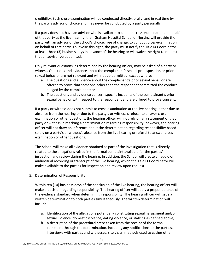credibility. Such cross-examination will be conducted directly, orally, and in real time by the party's advisor of choice and may never be conducted by a party personally.

If a party does not have an advisor who is available to conduct cross-examination on behalf of that party at the live hearing, then Graham Hospital School of Nursing will provide the party with an advisor of the School's choice, free of charge, to conduct cross-examination on behalf of that party. To invoke this right, the party must notify the Title IX Coordinator at least three (3) business days in advance of the hearing or will waive the right to request that an advisor be appointed.

Only relevant questions, as determined by the hearing officer, may be asked of a party or witness. Questions and evidence about the complainant's sexual predisposition or prior sexual behavior are not relevant and will not be permitted, except where:

- a. The questions and evidence about the complainant's prior sexual behavior are offered to prove that someone other than the respondent committed the conduct alleged by the complainant; or
- b. The questions and evidence concern specific incidents of the complainant's prior sexual behavior with respect to the respondent and are offered to prove consent.

If a party or witness does not submit to cross-examination at the live hearing, either due to absence from the hearing or due to the party's or witness's refusal to answer crossexamination or other questions, the hearing officer will not rely on any statement of that party or witness in reaching a determination regarding responsibility; however, the hearing officer will not draw an inference about the determination regarding responsibility based solely on a party's or witness's absence from the live hearing or refusal to answer crossexamination or other questions.

The School will make all evidence obtained as part of the investigation that is directly related to the allegations raised in the formal complaint available for the parties' inspection and review during the hearing. In addition, the School will create an audio or audiovisual recording or transcript of the live hearing, which the Title IX Coordinator will make available to the parties for inspection and review upon request.

5. Determination of Responsibility

Within ten (10) business days of the conclusion of the live hearing, the hearing officer will make a decision regarding responsibility. The hearing officer will apply a preponderance of the evidence standard when determining responsibility. The hearing officer will issue a written determination to both parties simultaneously. The written determination will include:

- a. Identification of the allegations potentially constituting sexual harassment and/or sexual violence, domestic violence, dating violence, or stalking as defined above;
- b. A description of the procedural steps taken from the receipt of the formal complaint through the determination, including any notifications to the parties, interviews with parties and witnesses, site visits, methods used to gather other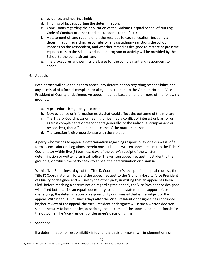- c. evidence, and hearings held;
- d. Findings of fact supporting the determination;
- e. Conclusions regarding the application of the Graham Hospital School of Nursing Code of Conduct or other conduct standards to the facts;
- f. A statement of, and rationale for, the result as to each allegation, including a determination regarding responsibility, any disciplinary sanctions the School imposes on the respondent, and whether remedies designed to restore or preserve equal access to the School's education program or activity will be provided by the School to the complainant; and
- g. The procedures and permissible bases for the complainant and respondent to appeal.
- 6. Appeals

Both parties will have the right to appeal any determination regarding responsibility, and any dismissal of a formal complaint or allegations therein, to the Graham Hospital Vice President of Quality or designee. An appeal must be based on one or more of the following grounds:

- a. A procedural irregularity occurred;
- b. New evidence or information exists that could affect the outcome of the matter;
- c. The Title IX Coordinator or hearing officer had a conflict of interest or bias for or against complainants or respondents generally, or the individual complainant or respondent, that affected the outcome of the matter; and/or
- d. The sanction is disproportionate with the violation.

A party who wishes to appeal a determination regarding responsibility or a dismissal of a formal complaint or allegations therein must submit a written appeal request to the Title IX Coordinator within five (5) business days of the party's receipt of the written determination or written dismissal notice. The written appeal request must identify the ground(s) on which the party seeks to appeal the determination or dismissal.

Within five (5) business days of the Title IX Coordinator's receipt of an appeal request, the Title IX Coordinator will forward the appeal request to the Graham Hospital Vice President of Quality or designee and will notify the other party in writing that an appeal has been filed. Before reaching a determination regarding the appeal, the Vice President or designee will afford both parties an equal opportunity to submit a statement in support of, or challenging, the determination or responsibility or dismissal that is the subject of the appeal. Within ten (10) business days after the Vice President or designee has concluded his/her review of the appeal, the Vice President or designee will issue a written decision simultaneously to both parties, describing the outcome of the appeal and the rationale for the outcome. The Vice President or designee's decision is final.

# 7. Sanctions

If a determination of responsibility is found, the decision-maker will implement one or

- 32 -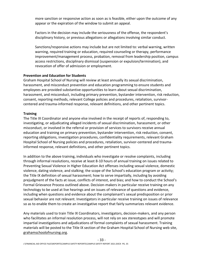more sanction or responsive action as soon as is feasible, either upon the outcome of any appear or the expiration of the window to submit an appeal.

Factors in the decision may include the seriousness of the offense, the respondent's disciplinary history, or previous allegations or allegations involving similar conduct.

Sanctions/responsive actions may include but are not limited to: verbal warning, written warning, required training or education, required counseling or therapy, performance improvement/management process, probation, removal from leadership position, campus access restrictions, disciplinary dismissal (suspension or expulsion/termination), and revocation of offer of admission or employment.

# **Prevention and Education for Students**

Graham Hospital School of Nursing will review at least annually its sexual discrimination, harassment, and misconduct prevention and education programming to ensure students and employees are provided substantive opportunities to learn about sexual discrimination, harassment, and misconduct, including primary prevention, bystander intervention, risk reduction, consent, reporting methods, relevant College policies and procedures, retaliation, survivorcentered and trauma-informed response, relevant definitions, and other pertinent topics.

#### **Training**

The Title IX Coordinator and anyone else involved in the receipt of reports of, responding to, investigating, or adjudicating alleged incidents of sexual discrimination, harassment, or other misconduct, or involved in the referral or provision of services to survivors receive annual education and training on primary prevention, bystander intervention, risk reduction, consent, reporting obligations, investigation procedures, confidentiality requirements, relevant Graham Hospital School of Nursing policies and procedures, retaliation, survivor-centered and traumainformed response, relevant definitions, and other pertinent topics.

In addition to the above training, individuals who investigate or resolve complaints, including through informal resolutions, receive at least 8-10 hours of annual training on issues related to Preventing Sexual Violence in Higher Education Act offenses including sexual violence, domestic violence, dating violence, and stalking; the scope of the School's education program or activity; the Title IX definition of sexual harassment; how to serve impartially, including by avoiding prejudgment of the facts at issue, conflicts of interest, and bias; and how to conduct the School's Formal Grievance Process outlined above. Decision-makers in particular receive training on any technology to be used at live hearings and on issues of relevance of questions and evidence, including when questions and evidence about the complainant's sexual predisposition or prior sexual behavior are not relevant. Investigators in particular receive training on issues of relevance so as to enable them to create an investigative report that fairly summarizes relevant evidence.

Any materials used to train Title IX Coordinators, investigators, decision-makers, and any person who facilitates an informal resolution process, will not rely on sex stereotypes and will promote impartial investigations and adjudications of formal complaints of sexual harassment. Training materials will be posted to the Title IX section of the Graham Hospital School of Nursing web site, [grahamschoolofnursing.org.](http://www.grahamschoolofnursing.org/)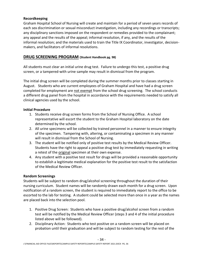#### **Recordkeeping**

Graham Hospital School of Nursing will create and maintain for a period of seven years records of each sex discrimination or sexual misconduct investigation, including any recordings or transcripts; any disciplinary sanctions imposed on the respondent or remedies provided to the complainant; any appeal and the results of the appeal; informal resolution, if any, and the results of the informal resolution; and the materials used to train the Title IX Coordinator, investigator, decisionmakers, and facilitators of informal resolutions.

# **DRUG SCREENING PROGRAM (Student Handbook pg. 98)**

All students must clear an initial urine drug test. Failure to undergo this test, a positive drug screen, or a tampered-with urine sample may result in dismissal from the program.

The initial drug screen will be completed during the summer months prior to classes starting in August. Students who are current employees of Graham Hospital and have had a drug screen completed for employment are not exempt from the school drug screening. The school conducts a different drug panel from the hospital in accordance with the requirements needed to satisfy all clinical agencies used by the school.

#### **Initial Procedure**

- 1. Students receive drug screen forms from the School of Nursing Office. A school representative will escort the student to the Graham Hospital laboratory on the date determined by the school.
- 2. All urine specimens will be collected by trained personnel in a manner to ensure integrity of the specimen. Tampering with, altering, or contaminating a specimen in any manner will result in dismissal from the School of Nursing.
- 3. The student will be notified only of positive test results by the Medical Review Officer. Students have the right to appeal a positive drug test by immediately requesting in writing a retest of the original specimen at their own expense.
- 4. Any student with a positive test result for drugs will be provided a reasonable opportunity to establish a legitimate medical explanation for the positive test result to the satisfaction of the Medical Review Officer.

# **Random Screenings**

Students will be subject to random drug/alcohol screening throughout the duration of their nursing curriculum. Student names will be randomly drawn each month for a drug screen. Upon notification of a random screen, the student is required to immediately report to the office to be escorted to the lab for testing. A student could be selected more than once in a year as the names are placed back into the selection pool.

- 1. Positive Drug Screen: Students who have a positive drug/alcohol screen from a random test will be notified by the Medical Review Officer (steps 3 and 4 of the initial procedure listed above will be followed).
- 2. Disciplinary Action: Students who test positive on a random screen will be placed on probation until their graduation and will be subject to random testing for the rest of the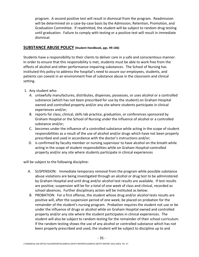program. A second positive test will result in dismissal from the program. Readmission will be determined on a case-by-case basis by the Admission, Retention, Promotion, and Graduation Committee. If readmitted, the student will be subject to random drug testing until graduation. Failure to comply with testing or a positive test will result in immediate dismissal.

# **SUBSTANCE ABUSE POLICY (Student Handbook, pgs. 99-106)**

Students have a responsibility to their clients to deliver care in a safe and conscientious manner. In order to ensure that this responsibility is met, students must be able to work free from the effects of alcohol and other performance-impairing substances. The School of Nursing has instituted this policy to address the hospital's need to assure our employees, students, and patients can coexist in an environment free of substance abuse in the classroom and clinical setting.

- 1. Any student who:
	- A. unlawfully manufactures, distributes, dispenses, possesses, or uses alcohol or a controlled substance (which has not been prescribed for use by the student) on Graham Hospital owned and controlled property and/or any site where students participate in clinical experiences and/or;
	- B. reports for class, clinical, skills lab practice, graduation, or conferences sponsored by Graham Hospital or the School of Nursing under the influence of alcohol or a controlled substance and/or;
	- C. becomes under the influence of a controlled substance while acting in the scope of student responsibilities as a result of the use of alcohol and/or drugs which have not been properly prescribed and used in accordance with the doctor's instructions and/or;
	- D. is confirmed by faculty member or nursing supervisor to have alcohol on the breath while acting in the scope of student responsibilities while on Graham Hospital-controlled property and/or any site where students participate in clinical experiences

will be subject to the following discipline:

- A. SUSPENSION: Immediate temporary removal from the program while possible substance abuse violations are being investigated through an alcohol or drug test to be administered by Graham Hospital and until drug and/or alcohol test results are available. If test results are positive, suspension will be for a total of one week of class and clinical, recorded as school absences. Further disciplinary action will be instituted as below:
- B. PROBATION: For a first offense, the student whose drug and/or alcohol tests results are positive will, after the suspension period of one week, be placed on probation for the remainder of the student's nursing program. Probation requires the student not use or be under the influence of drugs or alcohol while on Graham Hospital owned and controlled property and/or any site where the student participates in clinical experiences. The student will also be subject to random testing for the remainder of their school curriculum. If the random testing shows the use of any alcohol or controlled substance which has not been properly prescribed and used, the student will be subject to discipline up to and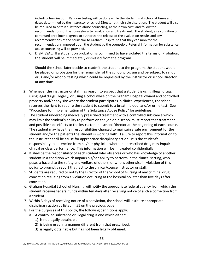including termination. Random testing will be done while the student is at school at times and dates determined by the instructor or school Director at their sole discretion. The student will also be required to obtain substance abuse counseling, at their own cost, and follow the recommendations of the counselor after evaluation and treatment. The student, as a condition of continued enrollment, agrees to authorize the release of the evaluation results and any recommendations of the counselor to Graham Hospital so that they can monitor the recommendations imposed upon the student by the counselor. Referral information for substance abuse counseling will be provided.

C. DISMISSAL: If a student on probation is confirmed to have violated the terms of Probation, the student will be immediately dismissed from the program.

Should the school later decide to readmit the student to the program, the student would be placed on probation for the remainder of the school program and be subject to random drug and/or alcohol testing which could be requested by the instructor or school Director at any time.

- 2. Whenever the instructor or staff has reason to suspect that a student is using illegal drugs, using legal drugs illegally, or using alcohol while on the Graham Hospital owned and controlled property and/or any site where the student participates in clinical experiences, the school reserves the right to require the student to submit to a breath, blood, and/or urine test. See "Procedure for Implementation of the Substance Abuse Policy" for guidelines.
- 3. The student undergoing medically prescribed treatment with a controlled substance which may limit the student's ability to perform on the job or in school must report that treatment and possible side effects to the instructor and school Director at the beginning of each course. The student may have their responsibilities changed to maintain a safe environment for the student and/or the patients the student is working with. Failure to report this information to the instructor shall be cause for appropriate disciplinary action. It is the student's responsibility to determine from his/her physician whether a prescribed drug may impair clinical or class performance. This information will be treated confidentially.
- 4. It shall be the responsibility of each student who observes or who has knowledge of another student in a condition which impairs his/her ability to perform in the clinical setting, who poses a hazard to the safety and welfare of others, or who is otherwise in violation of this policy to promptly report that fact to the clinical/course instructor or staff.
- 5. Students are required to notify the Director of the School of Nursing of any criminal drug conviction resulting from a violation occurring at the hospital no later than five days after conviction.
- 6. Graham Hospital School of Nursing will notify the appropriate federal agency from which the student receives federal funds within ten days after receiving notice of such a conviction from a student.
- 7. Within 3 days of receiving notice of a conviction, the school will institute appropriate disciplinary action as listed in #1 on the previous page.
- 8. For the purposes of this policy, the following definitions apply:
	- a. A controlled substance or illegal drug is one which either:
		- 1) is not legally obtainable.
		- 2) is being used in a manner different from that prescribed.
		- 3) is legally obtainable but has not been legally obtained.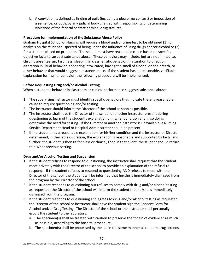b. A conviction is defined as finding of guilt (including a plea or no contest) or imposition of a sentence, or both, by any judicial body charged with responsibility of determining violations of the federal or state criminal drug statutes.

# **Procedure for Implementation of the Substance Abuse Policy**

Graham Hospital School of Nursing will require a blood and/or urine test to be obtained (1) for analysis on the student suspected of being under the influence of using drugs and/or alcohol or (2) for a student placed on probation. The school must have reasonable cause based on specific, objective facts to suspect substance abuse. These behaviors may include, but are not limited to, chronic absenteeism, tardiness, sleeping in class, erratic behavior, inattention to direction, alteration in usual behavior, appearing intoxicated, having the smell of alcohol on the breath, or other behavior that would suggest substance abuse. If the student has no reasonable, verifiable explanation for his/her behavior, the following procedure will be implemented.

# **Before Requesting Drug and/or Alcohol Testing**

When a student's behavior in classroom or clinical performance suggests substance abuse:

- 1. The supervising instructor must identify specific behaviors that indicate there is reasonable cause to require questioning and/or testing.
- 2. The instructor should inform the Director of the school as soon as possible.
- 3. The instructor shall have the Director of the school or another instructor present during questioning to learn of the student's explanation of his/her condition and in so doing determine the need for testing. If the Director or another instructor is unavailable, a Nursing Service Department Head or Hospital Administrator should be present.
- 4. If the student has a reasonable explanation for his/her condition and the instructor or Director determined, in their sole discretion, the explanation is reasonable and supported by facts, and further, the student is then fit for class or clinical, then in that event, the student should return to his/her previous setting.

# **Drug and/or Alcohol Testing and Suspension**

- 1. If the student refuses to respond to questioning, the instructor shall request that the student meet privately with the Director of the school to provide an explanation of the refusal to respond**.** If the student refuses to respond to questioning AND refuses to meet with the Director of the school, the student will be informed that he/she is immediately dismissed from the program by the Director of the school.
- 2. If the student responds to questioning but refuses to comply with drug and/or alcohol testing as requested, the Director of the school will inform the student that he/she is immediately dismissed from the program.
- 3. If the student responds to questioning and agrees to drug and/or alcohol testing as requested, the Director of the school or instructor shall have the student sign the Consent Form for Alcohol and/or Drug Testing. The Director of the school or the instructor shall personally escort the student to the laboratory.
	- a. The specimen(s) shall be treated with caution to preserve the "chain of evidence" as much as possible, according to the hospital procedure.
	- b. The specimen(s) shall be processed by the lab in the same manner as random drug screens.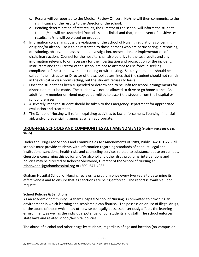- c. Results will be reported to the Medical Review Officer**.** He/she will then communicate the significance of the results to the Director of the school.
- d. Pending determination of test results, the Director of the school will inform the student that he/she will be suspended from class and clinical and that, in the event of positive test results, he/she will be placed on probation.
- 4. Information concerning possible violations of the School of Nursing regulations concerning drug and/or alcohol use is to be restricted to those persons who are participating in reporting, questioning, observation, assessment, investigation, prosecution, or implementation of disciplinary action. Counsel for the hospital shall also be privy to the test results and any information relevant to or necessary for the investigation and prosecution of the incident.
- 5. Instructors and the Director of the school are not to attempt to use force in seeking compliance of the student with questioning or with testing. Security personnel should be called if the instructor or Director of the school determines that the student should not remain in the clinical or classroom setting, but the student refuses to leave.
- 6. Once the student has been suspended or determined to be unfit for school, arrangements for disposition must be made. The student will not be allowed to drive or go home alone. An adult family member or friend may be permitted to escort the student from the hospital or school premises.
- 7. A severely impaired student should be taken to the Emergency Department for appropriate evaluation and treatment.
- 8. The School of Nursing will refer illegal drug activities to law enforcement, licensing, financial aid, and/or credentialing agencies when appropriate.

# **DRUG-FREE SCHOOLS AND COMMUNITIES ACT AMENDMENTS (Student Handbook, pgs. 94-95)**

Under the Drug-Free Schools and Communities Act Amendments of 1989, Public Law 101-226, all schools must provide students with information regarding standards of conduct, legal and institutional sanctions, health risks and counseling services related to substance abuse on campus. Questions concerning this policy and/or alcohol and other drug programs, interventions and policies may be directed to Rebecca Sherwood, Director of the School of Nursing at [rsherwood@grahamhospital.org](mailto:rsherwood@grahamhospital.org) or (309) 647-4086.

Graham Hospital School of Nursing reviews its program once every two years to determine its effectiveness and to ensure that its sanctions are being enforced. The report is available upon request.

# **School Policies & Sanctions**

As an academic community, Graham Hospital School of Nursing is committed to providing an environment in which learning and scholarship can flourish. The possession or use of illegal drugs, or the abuse of those which may otherwise be legally possessed, seriously affects the learning environment, as well as the individual potential of our students and staff. The school enforces state laws and related school/hospital policies.

The abuse of alcohol and other drugs by students, regardless of age and location (on-campus or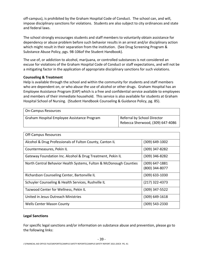off-campus), is prohibited by the Graham Hospital Code of Conduct. The school can, and will, impose disciplinary sanctions for violations. Students are also subject to city ordinances and state and federal laws.

The school strongly encourages students and staff members to voluntarily obtain assistance for dependency or abuse problem before such behavior results in an arrest and/or disciplinary action which might result in their separation from the institution. (See Drug Screening Program & Substance Abuse Policy, pgs. 98-106of the Student Handbook).

The use of, or addiction to alcohol, marijuana, or controlled substances is not considered an excuse for violations of the Graham Hospital Code of Conduct or staff expectations, and will not be a mitigating factor in the application of appropriate disciplinary sanctions for such violations.

#### **Counseling & Treatment**

Help is available through the school and within the community for students and staff members who are dependent on, or who abuse the use of alcohol or other drugs. Graham Hospital has an Employee Assistance Program (EAP) which is a free and confidential service available to employees and members of their immediate household. This service is also available for students at Graham Hospital School of Nursing. (Student Handbook Counseling & Guidance Policy, pg. 85).

| On-Campus Resources                         |                                                                 |
|---------------------------------------------|-----------------------------------------------------------------|
| Graham Hospital Employee Assistance Program | Referral by School Director<br>Rebecca Sherwood, (309) 647-4086 |

| <b>Off-Campus Resources</b>                                        |                  |
|--------------------------------------------------------------------|------------------|
| Alcohol & Drug Professionals of Fulton County, Canton IL           | (309) 649-1002   |
| Countermeasures, Pekin IL                                          | (309) 347-8282   |
| Gateway Foundation Inc. Alcohol & Drug Treatment, Pekin IL         | (309) 346-8282   |
| North Central Behavior Health Systems, Fulton & McDonough Counties | (309) 647-1881   |
|                                                                    | (800) 344-8077   |
| Richardson Counseling Center, Bartonville IL                       | (309) 633-1030   |
| Schuyler Counseling & Health Services, Rushville IL                | $(217)$ 322-4373 |
| <b>Tazwood Center for Wellness, Pekin IL</b>                       | (309) 347-5522   |
| United in Jesus Outreach Ministries                                | (309) 649-1618   |
| <b>Wells Center Mason County</b>                                   | (309) 543-2330   |

#### **Legal Sanctions**

For specific legal sanctions and/or information on substance abuse and prevention, please go to the following links: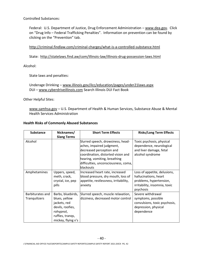Controlled Substances:

Federal: U.S. Department of Justice, Drug Enforcement Administration – [www.dea.gov.](http://www.dea.gov/) Click on "Drug Info – Federal Trafficking Penalties". Information on prevention can be found by clicking on the "Prevention" tab.

<http://criminal.findlaw.com/criminal-charges/what-is-a-controlled-substance.html>

State: <http://statelaws.find.aw/com/illinois-law/illinois-drug-possession-laws.html>

Alcohol:

State laws and penalties:

Underage Drinking – [www.illinois.gov/ilcc/education/pages/under21laws.aspx](http://www.illinois.gov/ilcc/education/pages/under21laws.aspx) DUI – [www.cyberdriveillinois.com](http://www.cyberdriveillinois.com/) Search Illinois DUI Fact Book

Other Helpful Sites:

[www.samhsa.gov](http://www.samhsa.gov/) – U.S. Department of Health & Human Services, Substance Abuse & Mental Health Services Administration

#### **Health Risks of Commonly Abused Substances**

| <b>Substance</b>                         | Nicknames/                                                                                                                    | <b>Short Term Effects</b>                                                                                                                                                                                             | <b>Risks/Long Term Effects</b>                                                                                                 |
|------------------------------------------|-------------------------------------------------------------------------------------------------------------------------------|-----------------------------------------------------------------------------------------------------------------------------------------------------------------------------------------------------------------------|--------------------------------------------------------------------------------------------------------------------------------|
|                                          | <b>Slang Terms</b>                                                                                                            |                                                                                                                                                                                                                       |                                                                                                                                |
| Alcohol                                  |                                                                                                                               | Slurred speech, drowsiness, head-<br>aches, impaired judgment,<br>decreased perception and<br>coordination, distorted vision and<br>hearing, vomiting, breathing<br>difficulties, unconsciousness, coma,<br>blackouts | Toxic psychosis, physical<br>dependence, neurological<br>and liver damage, fetal<br>alcohol syndrome                           |
| Amphetamines                             | Uppers, speed,<br>meth, crack,<br>crystal, ice, pep<br>pills                                                                  | Increased heart rate, increased<br>blood pressure, dry mouth, loss of<br>appetite, restlessness, irritability,<br>anxiety                                                                                             | Loss of appetite, delusions,<br>hallucinations, heart<br>problems, hypertension,<br>irritability, insomnia, toxic<br>psychosis |
| Barbiturates and<br><b>Tranquilizers</b> | Barbs, bluebirds,<br>blues, yellow<br>jackets, red<br>devils, roofies,<br>rohypnol,<br>ruffies, trangs,<br>mickey, flying v's | Slurred speech, muscle relaxation,<br>dizziness, decreased motor control                                                                                                                                              | Severe withdrawal<br>symptoms, possible<br>convulsions, toxic psychosis,<br>depression, physical<br>dependence                 |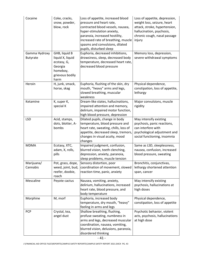| Cocaine                          | Coke, cracks,<br>snow, powder,<br>blow, rock                                                       | Loss of appetite, increased blood<br>pressure and heart rate,<br>contracted blood vessels, nausea,<br>hyper-stimulation anxiety,<br>paranoia, increased hostility,<br>increased rate of breathing, muscle<br>spasms and convulsions, dilated<br>pupils, disturbed sleep | Loss of appetite, depression,<br>weight loss, seizure, heart<br>attack, stroke, hypertension,<br>hallucination, psychosis,<br>chronic cough, nasal passage<br>injury |
|----------------------------------|----------------------------------------------------------------------------------------------------|-------------------------------------------------------------------------------------------------------------------------------------------------------------------------------------------------------------------------------------------------------------------------|----------------------------------------------------------------------------------------------------------------------------------------------------------------------|
| Gamma Hydroxy<br><b>Butyrate</b> | GHB, liquid B<br>liquid X, liquid<br>ecstasy, G,<br>Georgia<br>homeboy,<br>grievous bodily<br>harm | Euphoria, decreased inhibitions,<br>drowsiness, sleep, decreased body<br>temperature, decreased heart rate,<br>decreased blood pressure                                                                                                                                 | Memory loss, depression,<br>severe withdrawal symptoms                                                                                                               |
| Heroin                           | H, junk, smack,<br>horse, skag                                                                     | Euphoria, flushing of the skin, dry<br>mouth, "heavy" arms and legs,<br>slowed breathing, muscular<br>weakness                                                                                                                                                          | Physical dependence,<br>constipation, loss of appetite,<br>lethargy                                                                                                  |
| Ketamine                         | K, super K,<br>special K                                                                           | Dream-like states, hallucinations,<br>impaired attention and memory,<br>delirium, impaired motor function,<br>high blood pressure, depression                                                                                                                           | Major convulsions, muscle<br>rigidity                                                                                                                                |
| <b>LSD</b>                       | Acid, stamps,<br>dots, blotter, A-<br>bombs                                                        | Dilated pupils, change in body<br>temperature, blood pressure and<br>heart rate, sweating, chills, loss of<br>appetite, decreased sleep, tremors,<br>changes in visual acuity, mood<br>changes                                                                          | May intensify existing<br>psychosis, panic reactions,<br>can interfere with<br>psychological adjustment and<br>social functioning, insomnia                          |
| <b>MDMA</b>                      | Ecstasy, XTC,<br>adam, X, rolls,<br>pills                                                          | Impaired judgment, confusion,<br>blurred vision, teeth clenching,<br>depression, anxiety, paranoia,<br>sleep problems, muscle tension                                                                                                                                   | Same as LSD, sleeplessness,<br>nausea, confusion, increased<br>blood pressure, sweating                                                                              |
| Marijuana/<br>Cannabis           | Pot, grass, dope,<br>weed, joint, bud,<br>reefer, doobie,<br>roach                                 | Sensory distortion, poor<br>coordination of movement, slowed<br>reaction time, panic, anxiety                                                                                                                                                                           | Bronchitis, conjunctivas,<br>lethargy shortened attention<br>span, cancer                                                                                            |
| Mescaline                        | Peyote cactus                                                                                      | Nausea, vomiting, anxiety,<br>delirium, hallucinations, increased<br>heart rate, blood pressure, and<br>body temperature                                                                                                                                                | May intensify existing<br>psychosis, hallucinations at<br>high doses                                                                                                 |
| Morphine                         | M, morf                                                                                            | Euphoria, increased body<br>temperature, dry mouth, "heavy"<br>feeling in arms and legs                                                                                                                                                                                 | Physical dependence,<br>constipation, loss of appetite                                                                                                               |
| <b>PCP</b>                       | Crystal, tea,<br>angel dust                                                                        | Shallow breathing, flushing,<br>profuse sweating, numbness in<br>arms and legs, decreased muscular<br>coordination, nausea, vomiting,<br>blurred vision, delusions, paranoia,<br>disordered thinking                                                                    | Psychotic behavior, violent<br>acts, psychosis, hallucinations<br>at high dose                                                                                       |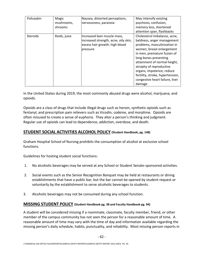| Psilcoybin      | Magic<br>mushrooms,<br>shrooms | Nausea, distorted perceptions,<br>nervousness, paranoia                                                           | May intensify existing<br>psychosis, confusion,<br>memory loss, shortened<br>attention span, flashbacks                                                                                                                                                                                                                                                  |
|-----------------|--------------------------------|-------------------------------------------------------------------------------------------------------------------|----------------------------------------------------------------------------------------------------------------------------------------------------------------------------------------------------------------------------------------------------------------------------------------------------------------------------------------------------------|
| <b>Steroids</b> | Roids, juice                   | Increased lean muscle mass,<br>increased strength, acne, oily skin,<br>excess hair growth, high blood<br>pressure | Cholesterol imbalance, acne,<br>baldness, anger management<br>problems, masculinization in<br>women, breast enlargement<br>in men, premature fusion of<br>long bones preventing<br>attainment of normal height,<br>atrophy of reproductive<br>organs, impotence, reduce<br>fertility, stroke, hypertension,<br>congestive heart failure, liver<br>damage |

In the United States during 2019, the most commonly abused drugs were alcohol, marijuana, and opioids.

Opioids are a class of drugs that include illegal drugs such as heroin, synthetic opioids such as fentanyl, and prescription pain relievers such as Vicodin, codeine, and morphine. Opioids are often misused to create a sense of euphoria. They alter a person's thinking and judgment. Regular use of opioids can lead to dependence, addiction, overdose, and death.

# **STUDENT SOCIAL ACTIVITIES ALCOHOL POLICY (Student Handbook, pg. 148)**

Graham Hospital School of Nursing prohibits the consumption of alcohol at exclusive school functions.

Guidelines for hosting student social functions:

- 1. No alcoholic beverages may be served at any School or Student Senate-sponsored activities.
- 2. Social events such as the Senior Recognition Banquet may be held at restaurants or dining establishments that have a public bar, but the bar cannot be opened by student request or voluntarily by the establishment to serve alcoholic beverages to students.
- 3. Alcoholic beverages may not be consumed during any school function.

# **MISSING STUDENT POLICY (Student Handbook pg. 38 and Faculty Handbook pg. 94)**

A student will be considered missing if a roommate, classmate, faculty member, friend, or other member of the campus community has not seen the person for a reasonable amount of time. A reasonable amount of time may vary with the time of day and information available regarding the missing person's daily schedule, habits, punctuality, and reliability. Most missing person reports in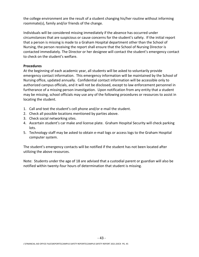the college environment are the result of a student changing his/her routine without informing roommate(s), family and/or friends of the change.

Individuals will be considered missing immediately if the absence has occurred under circumstances that are suspicious or cause concerns for the student's safety. If the initial report that a person is missing is made to a Graham Hospital department other than the School of Nursing, the person receiving the report shall ensure that the School of Nursing Director is contacted immediately. The Director or her designee will contact the student's emergency contact to check on the student's welfare.

#### **Procedures**

At the beginning of each academic year, all students will be asked to voluntarily provide emergency contact information. This emergency information will be maintained by the School of Nursing office, updated annually. Confidential contact information will be accessible only to authorized campus officials, and it will not be disclosed, except to law enforcement personnel in furtherance of a missing person investigation. Upon notification from any entity that a student may be missing, school officials may use any of the following procedures or resources to assist in locating the student.

- 1. Call and text the student's cell phone and/or e-mail the student.
- 2. Check all possible locations mentioned by parties above.
- 3. Check social networking sites.
- 4. Ascertain student's car make and license plate. Graham Hospital Security will check parking lots.
- 5. Technology staff may be asked to obtain e-mail logs or access logs to the Graham Hospital computer system.

The student's emergency contacts will be notified if the student has not been located after utilizing the above resources.

Note: Students under the age of 18 are advised that a custodial parent or guardian will also be notified within twenty-four hours of determination that student is missing.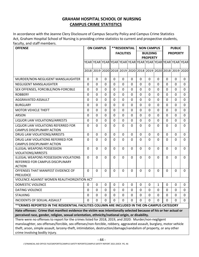# **GRAHAM HOSPITAL SCHOOL OF NURSING CAMPUS CRIME STATISTICS**

In accordance with the Jeanne Clery Disclosure of Campus Security Policy and Campus Crime Statistics Act, Graham Hospital School of Nursing is providing crime statistics to current and prospective students, faculty, and staff members.

| <b>OFFENSE</b>                                                                                                                                                                                                                | <b>ON CAMPUS</b>                                                                                                  |              | <b>**RESIDENTIAL</b> |             | <b>NON CAMPUS</b> |                |                                                             | <b>PUBLIC</b>   |              |              |              |              |
|-------------------------------------------------------------------------------------------------------------------------------------------------------------------------------------------------------------------------------|-------------------------------------------------------------------------------------------------------------------|--------------|----------------------|-------------|-------------------|----------------|-------------------------------------------------------------|-----------------|--------------|--------------|--------------|--------------|
|                                                                                                                                                                                                                               |                                                                                                                   |              | <b>FACILITIES</b>    |             | <b>BUILDING</b>   |                |                                                             | <b>PROPERTY</b> |              |              |              |              |
|                                                                                                                                                                                                                               |                                                                                                                   |              |                      |             |                   |                | <b>PROPERTY</b>                                             |                 |              |              |              |              |
|                                                                                                                                                                                                                               |                                                                                                                   |              |                      |             |                   |                |                                                             |                 |              |              |              |              |
|                                                                                                                                                                                                                               |                                                                                                                   |              |                      |             |                   |                | 2018 2019 2020 2018 2019 2020 2018 2019 2020 2018 2019 2020 |                 |              |              |              |              |
|                                                                                                                                                                                                                               |                                                                                                                   |              |                      |             |                   |                |                                                             |                 |              |              |              |              |
| MURDER/NON-NEGLIGENT MANSLAUGHTER                                                                                                                                                                                             | $\mathbf{0}$                                                                                                      | $\mathbf{0}$ | $\mathbf 0$          | 0           | $\mathbf{0}$      | $\mathbf{0}$   | 0                                                           | $\mathbf{0}$    | 0            | $\mathbf{0}$ | $\mathbf{0}$ | $\mathbf{0}$ |
| NEGLIGENT MANSLAUGHTER                                                                                                                                                                                                        | $\mathbf 0$                                                                                                       | $\mathbf 0$  | $\mathbf 0$          | 0           | 0                 | $\mathbf 0$    | $\mathbf 0$                                                 | $\mathbf 0$     | 0            | $\mathbf 0$  | 0            | 0            |
| SEX OFFENSES, FORCIBLE/NON-FORCIBLE                                                                                                                                                                                           | 0                                                                                                                 | 0            | 0                    | $\mathbf 0$ | 0                 | $\mathbf 0$    | 0                                                           | 0               | $\mathbf{0}$ | 0            | $\Omega$     | $\mathbf 0$  |
| <b>ROBBERY</b>                                                                                                                                                                                                                | $\mathbf 0$                                                                                                       | $\Omega$     | $\mathbf 0$          | $\mathbf 0$ | $\mathbf 0$       | 0              | 0                                                           | $\mathbf 0$     | 0            | $\mathbf 0$  | $\Omega$     | $\mathbf 0$  |
| AGGRAVATED ASSAULT                                                                                                                                                                                                            | 0                                                                                                                 | $\Omega$     | $\overline{0}$       | $\Omega$    | 0                 | 0              | 0                                                           | 0               | 0            | $\mathbf 0$  | $\Omega$     | $\mathbf 0$  |
| <b>BURGLARY</b>                                                                                                                                                                                                               | 0                                                                                                                 | 0            | 0                    | 0           | 0                 | 0              | $\mathbf{0}$                                                | 0               | $\mathbf{0}$ | 0            | $\Omega$     | 0            |
| <b>MOTOR VEHICLE THEFT</b>                                                                                                                                                                                                    | $\mathbf 0$                                                                                                       | $\Omega$     | $\Omega$             | $\Omega$    | $\Omega$          | $\overline{0}$ | $\Omega$                                                    | $\mathbf 0$     | 0            | $\Omega$     | $\Omega$     | 0            |
| <b>ARSON</b>                                                                                                                                                                                                                  | 0                                                                                                                 | $\Omega$     | $\mathbf 0$          | $\Omega$    | $\mathbf 0$       | 0              | 0                                                           | $\mathbf 0$     | 0            | $\mathbf 0$  | $\Omega$     | $\mathbf 0$  |
| LIQUOR LAW VIOLATIONS/ARRESTS                                                                                                                                                                                                 | 0                                                                                                                 | 0            | 0                    | $\mathbf 0$ | 0                 | 0              | $\mathbf{0}$                                                | 0               | $\mathbf{0}$ | $\mathbf{0}$ | 0            | 0            |
| LIQUOR LAW VIOLATIONS REFERRED FOR                                                                                                                                                                                            | $\mathbf 0$                                                                                                       | $\Omega$     | $\mathbf 0$          | 0           | 0                 | $\mathbf 0$    | $\mathbf 0$                                                 | 0               | $\mathbf 0$  | $\mathbf 0$  | $\Omega$     | 0            |
| <b>CAMPUS DISCIPLINARY ACTION</b>                                                                                                                                                                                             |                                                                                                                   |              |                      |             |                   |                |                                                             |                 |              |              |              |              |
| DRUG LAW VIOLATIONS/ARRESTS                                                                                                                                                                                                   | $\mathbf 0$                                                                                                       | $\Omega$     | $\mathbf 0$          | 0           | $\mathbf 0$       | 0              | 0                                                           | $\mathbf 0$     | 0            | $\mathbf 0$  | 0            | 0            |
| DRUG LAW VIOLATIONS REFERRED FOR                                                                                                                                                                                              | 0                                                                                                                 | 0            | 0                    | 0           | 0                 | 0              | 0                                                           | 0               | 0            | 0            | $\Omega$     | $\mathbf{0}$ |
| <b>CAMPUS DISCIPLINARY ACTION</b>                                                                                                                                                                                             |                                                                                                                   |              |                      |             |                   |                |                                                             |                 |              |              |              |              |
| <b>ILLEGAL WEAPONS POSSESSION</b><br>VIOLATIONS/ARRESTS                                                                                                                                                                       | $\mathbf 0$                                                                                                       | 0            | 0                    | 0           | $\mathbf 0$       | 0              | 0                                                           | $\mathbf 0$     | 0            | 0            | $\mathbf{0}$ | 0            |
| ILLEGAL WEAPONS POSSESSION VIOLATIONS                                                                                                                                                                                         | $\Omega$                                                                                                          | $\Omega$     | 0                    | $\Omega$    | $\Omega$          | 0              | $\Omega$                                                    | $\Omega$        | $\Omega$     | 0            | 0            | $\mathbf{0}$ |
| REFERRED FOR CAMPUS DISCIPLINARY                                                                                                                                                                                              |                                                                                                                   |              |                      |             |                   |                |                                                             |                 |              |              |              |              |
| <b>ACTION</b>                                                                                                                                                                                                                 |                                                                                                                   |              |                      |             |                   |                |                                                             |                 |              |              |              |              |
| OFFENSES THAT MANIFEST EVIDENCE OF                                                                                                                                                                                            | $\Omega$                                                                                                          | $\Omega$     | 0                    | $\Omega$    | $\mathbf 0$       | 0              | 0                                                           | $\Omega$        | $\Omega$     | $\Omega$     | 0            | 0            |
| <b>PREJUDICE</b>                                                                                                                                                                                                              |                                                                                                                   |              |                      |             |                   |                |                                                             |                 |              |              |              |              |
| VIOLENCE AGAINST WOMEN REAUTHORIZATION ACT                                                                                                                                                                                    |                                                                                                                   |              |                      |             |                   |                |                                                             |                 |              |              |              |              |
| DOMESTIC VIOLENCE                                                                                                                                                                                                             | 0                                                                                                                 | 0            | 0                    | 0           | 0                 | 0              | 0                                                           | 0               | $\mathbf{1}$ | 0            | 0            | 0            |
| <b>DATING VIOLENCE</b>                                                                                                                                                                                                        | $\Omega$                                                                                                          | $\Omega$     | 0                    | $\mathbf 0$ | $\mathbf 0$       | $\Omega$       | $\Omega$                                                    | $\Omega$        | 0            | $\mathbf 0$  | 0            | $\mathbf 0$  |
| <b>STALKING</b>                                                                                                                                                                                                               | 0                                                                                                                 | 0            | 0                    | 0           | 0                 | 0              | 0                                                           | 0               | 0            | 0            | 0            | 0            |
| INCIDENTS OF SEXUAL ASSAULT                                                                                                                                                                                                   | 0                                                                                                                 | 0            | 0                    | 0           | 0                 | 0              | 0                                                           | 0               | 0            | 0            | 0            | 0            |
| ** CRIMES REPORTED IN THE RESIDENTIAL FACILITIES COLUMN ARE INCLUDED IN THE ON-CAMPUS CATEGORY                                                                                                                                |                                                                                                                   |              |                      |             |                   |                |                                                             |                 |              |              |              |              |
| Hate offenses: Crime that manifest evidence the victim was intentionally selected because of his or her actual or                                                                                                             |                                                                                                                   |              |                      |             |                   |                |                                                             |                 |              |              |              |              |
| perceived race, gender, religion, sexual orientation, ethnicity/national origin, or disability.                                                                                                                               |                                                                                                                   |              |                      |             |                   |                |                                                             |                 |              |              |              |              |
| There were no offenses to report for the crimes listed for 2018, 2019, and 2020: Murder/non-negligent<br>manslaughter, sex offenses/forcible, sex offenses/non-forcible, robbery, aggravated assault, burglary, motor vehicle |                                                                                                                   |              |                      |             |                   |                |                                                             |                 |              |              |              |              |
|                                                                                                                                                                                                                               |                                                                                                                   |              |                      |             |                   |                |                                                             |                 |              |              |              |              |
| crime involving bodily injury.                                                                                                                                                                                                | theft, arson, simple assault, larceny-theft, intimidation, destruction/damage/vandalism of property, or any other |              |                      |             |                   |                |                                                             |                 |              |              |              |              |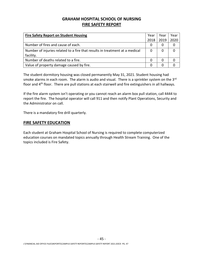# **GRAHAM HOSPITAL SCHOOL OF NURSING FIRE SAFETY REPORT**

| <b>Fire Safety Report on Student Housing</b>                                | Year | Year | Year |
|-----------------------------------------------------------------------------|------|------|------|
|                                                                             | 2018 | 2019 | 2020 |
| Number of fires and cause of each.                                          |      |      |      |
| Number of injuries related to a fire that results in treatment at a medical |      | 0    |      |
| facility.                                                                   |      |      |      |
| Number of deaths related to a fire.                                         |      |      |      |
| Value of property damage caused by fire.                                    |      |      |      |

The student dormitory housing was closed permanently May 31, 2021. Student housing had smoke alarms in each room. The alarm is audio and visual. There is a sprinkler system on the 3<sup>rd</sup> floor and 4<sup>th</sup> floor. There are pull stations at each stairwell and fire extinguishers in all hallways.

If the fire alarm system isn't operating or you cannot reach an alarm box pull station, call 4444 to report the fire. The hospital operator will call 911 and then notify Plant Operations, Security and the Administrator on call.

There is a mandatory fire drill quarterly.

# **FIRE SAFETY EDUCATION**

Each student at Graham Hospital School of Nursing is required to complete computerized education courses on mandated topics annually through Health Stream Training. One of the topics included is Fire Safety.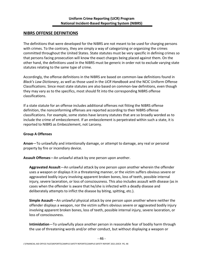# **NIBRS OFFENSE DEFINITIONS**

The definitions that were developed for the NIBRS are not meant to be used for charging persons with crimes. To the contrary, they are simply a way of categorizing or organizing the crimes committed throughout the United States. State statutes must be very specific in defining crimes so that persons facing prosecution will know the exact charges being placed against them. On the other hand, the definitions used in the NIBRS must be generic in order not to exclude varying state statutes relating to the same type of crime.

Accordingly, the offense definitions in the NIBRS are based on common-law definitions found in *Black's Law Dictionary*, as well as those used in the *UCR Handbook* and the NCIC Uniform Offense Classifications. Since most state statutes are also based on common-law definitions, even though they may vary as to the specifics, most should fit into the corresponding NIBRS offense classifications.

If a state statute for an offense includes additional offenses not fitting the NIBRS offense definition, the nonconforming offenses are reported according to their NIBRS offense classifications. For example, some states have larceny statutes that are so broadly worded as to include the crime of embezzlement. If an embezzlement is perpetrated within such a state, it is reported to NIBRS as Embezzlement, not Larceny.

# **Group A Offenses**

**Arson**—To unlawfully and intentionally damage, or attempt to damage, any real or personal property by fire or incendiary device.

**Assault Offenses**—An unlawful attack by one person upon another.

**Aggravated Assault**—An unlawful attack by one person upon another wherein the offender uses a weapon or displays it in a threatening manner, or the victim suffers obvious severe or aggravated bodily injury involving apparent broken bones, loss of teeth, possible internal injury, severe laceration, or loss of consciousness. This also includes assault with disease (as in cases when the offender is aware that he/she is infected with a deadly disease and deliberately attempts to inflict the disease by biting, spitting, etc.).

**Simple Assault**—An unlawful physical attack by one person upon another where neither the offender displays a weapon, nor the victim suffers obvious severe or aggravated bodily injury involving apparent broken bones, loss of teeth, possible internal injury, severe laceration, or loss of consciousness.

**Intimidation**—To unlawfully place another person in reasonable fear of bodily harm through the use of threatening words and/or other conduct, but without displaying a weapon or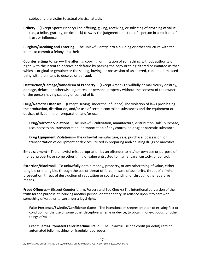subjecting the victim to actual physical attack.

**Bribery**— (Except Sports Bribery) The offering, giving, receiving, or soliciting of anything of value (i.e., a bribe, gratuity, or kickback) to sway the judgment or action of a person in a position of trust or influence.

**Burglary/Breaking and Entering**—The unlawful entry into a building or other structure with the intent to commit a felony or a theft.

**Counterfeiting/Forgery**—The altering, copying, or imitation of something, without authority or right, with the intent to deceive or defraud by passing the copy or thing altered or imitated as that which is original or genuine; or the selling, buying, or possession of an altered, copied, or imitated thing with the intent to deceive or defraud.

**Destruction/Damage/Vandalism of Property**— (Except Arson) To willfully or maliciously destroy, damage, deface, or otherwise injure real or personal property without the consent of the owner or the person having custody or control of it.

**Drug/Narcotic Offenses**— (Except Driving Under the Influence) The violation of laws prohibiting the production, distribution, and/or use of certain controlled substances and the equipment or devices utilized in their preparation and/or use.

**Drug/Narcotic Violations**—The unlawful cultivation, manufacture, distribution, sale, purchase, use, possession, transportation, or importation of any controlled drug or narcotic substance.

**Drug Equipment Violations**—The unlawful manufacture, sale, purchase, possession, or transportation of equipment or devices utilized in preparing and/or using drugs or narcotics.

**Embezzlement**—The unlawful misappropriation by an offender to his/her own use or purpose of money, property, or some other thing of value entrusted to his/her care, custody, or control.

**Extortion/Blackmail**—To unlawfully obtain money, property, or any other thing of value, either tangible or intangible, through the use or threat of force, misuse of authority, threat of criminal prosecution, threat of destruction of reputation or social standing, or through other coercive means.

**Fraud Offenses**— (Except Counterfeiting/Forgery and Bad Checks) The intentional perversion of the truth for the purpose of inducing another person, or other entity, in reliance upon it to part with something of value or to surrender a legal right.

**False Pretenses/Swindle/Confidence Game**—The intentional misrepresentation of existing fact or condition, or the use of some other deceptive scheme or device, to obtain money, goods, or other things of value.

**Credit Card/Automated Teller Machine Fraud**—The unlawful use of a credit (or debit) card or automated teller machine for fraudulent purposes.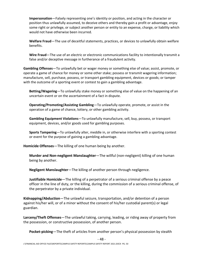**Impersonation**—Falsely representing one's identity or position, and acting in the character or position thus unlawfully assumed, to deceive others and thereby gain a profit or advantage, enjoy some right or privilege, or subject another person or entity to an expense, charge, or liability which would not have otherwise been incurred.

**Welfare Fraud**—The use of deceitful statements, practices, or devices to unlawfully obtain welfare benefits.

**Wire Fraud**—The use of an electric or electronic communications facility to intentionally transmit a false and/or deceptive message in furtherance of a fraudulent activity.

**Gambling Offenses**—To unlawfully bet or wager money or something else of value; assist, promote, or operate a game of chance for money or some other stake; possess or transmit wagering information; manufacture, sell, purchase, possess, or transport gambling equipment, devices or goods; or tamper with the outcome of a sporting event or contest to gain a gambling advantage.

**Betting/Wagering**—To unlawfully stake money or something else of value on the happening of an uncertain event or on the ascertainment of a fact in dispute.

**Operating/Promoting/Assisting Gambling**—To unlawfully operate, promote, or assist in the operation of a game of chance, lottery, or other gambling activity.

**Gambling Equipment Violations**—To unlawfully manufacture, sell, buy, possess, or transport equipment, devices, and/or goods used for gambling purposes.

**Sports Tampering**—To unlawfully alter, meddle in, or otherwise interfere with a sporting contest or event for the purpose of gaining a gambling advantage.

**Homicide Offenses**—The killing of one human being by another.

**Murder and Non-negligent Manslaughter**—The willful (non-negligent) killing of one human being by another.

**Negligent Manslaughter**—The killing of another person through negligence.

**Justifiable Homicide**—The killing of a perpetrator of a serious criminal offense by a peace officer in the line of duty, or the killing, during the commission of a serious criminal offense, of the perpetrator by a private individual.

**Kidnapping/Abduction**—The unlawful seizure, transportation, and/or detention of a person against his/her will, or of a minor without the consent of his/her custodial parent(s) or legal guardian.

**Larceny/Theft Offenses**—The unlawful taking, carrying, leading, or riding away of property from the possession, or constructive possession, of another person.

**Pocket-picking**—The theft of articles from another person's physical possession by stealth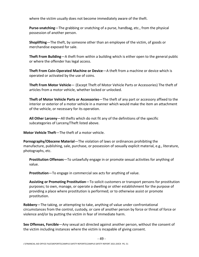where the victim usually does not become immediately aware of the theft.

**Purse-snatching**—The grabbing or snatching of a purse, handbag, etc., from the physical possession of another person.

**Shoplifting**—The theft, by someone other than an employee of the victim, of goods or merchandise exposed for sale.

**Theft From Building**—A theft from within a building which is either open to the general public or where the offender has legal access.

**Theft From Coin-Operated Machine or Device**—A theft from a machine or device which is operated or activated by the use of coins.

**Theft From Motor Vehicle**— (Except Theft of Motor Vehicle Parts or Accessories) The theft of articles from a motor vehicle, whether locked or unlocked.

**Theft of Motor Vehicle Parts or Accessories**—The theft of any part or accessory affixed to the interior or exterior of a motor vehicle in a manner which would make the item an attachment of the vehicle, or necessary for its operation.

**All Other Larceny**—All thefts which do not fit any of the definitions of the specific subcategories of Larceny/Theft listed above.

**Motor Vehicle Theft**—The theft of a motor vehicle.

**Pornography/Obscene Material**—The violation of laws or ordinances prohibiting the manufacture, publishing, sale, purchase, or possession of sexually explicit material, e.g., literature, photographs, etc.

**Prostitution Offenses**—To unlawfully engage in or promote sexual activities for anything of value.

**Prostitution**—To engage in commercial sex acts for anything of value.

**Assisting or Promoting Prostitution**—To solicit customers or transport persons for prostitution purposes; to own, manage, or operate a dwelling or other establishment for the purpose of providing a place where prostitution is performed; or to otherwise assist or promote prostitution.

**Robbery**—The taking, or attempting to take, anything of value under confrontational circumstances from the control, custody, or care of another person by force or threat of force or violence and/or by putting the victim in fear of immediate harm.

**Sex Offenses, Forcible**—Any sexual act directed against another person, without the consent of the victim including instances where the victim is incapable of giving consent.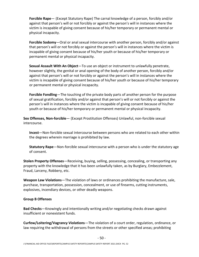**Forcible Rape**— (Except Statutory Rape) The carnal knowledge of a person, forcibly and/or against that person's will or not forcibly or against the person's will in instances where the victim is incapable of giving consent because of his/her temporary or permanent mental or physical incapacity.

**Forcible Sodomy**—Oral or anal sexual intercourse with another person, forcibly and/or against that person's will or not forcibly or against the person's will in instances where the victim is incapable of giving consent because of his/her youth or because of his/her temporary or permanent mental or physical incapacity.

**Sexual Assault With An Object**—To use an object or instrument to unlawfully penetrate, however slightly, the genital or anal opening of the body of another person, forcibly and/or against that person's will or not forcibly or against the person's will in instances where the victim is incapable of giving consent because of his/her youth or because of his/her temporary or permanent mental or physical incapacity.

**Forcible Fondling**—The touching of the private body parts of another person for the purpose of sexual gratification, forcibly and/or against that person's will or not forcibly or against the person's will in instances where the victim is incapable of giving consent because of his/her youth or because of his/her temporary or permanent mental or physical incapacity.

**Sex Offenses, Non-forcible**— (Except Prostitution Offenses) Unlawful, non-forcible sexual intercourse.

**Incest**—Non-forcible sexual intercourse between persons who are related to each other within the degrees wherein marriage is prohibited by law.

**Statutory Rape**—Non-forcible sexual intercourse with a person who is under the statutory age of consent.

**Stolen Property Offenses**—Receiving, buying, selling, possessing, concealing, or transporting any property with the knowledge that it has been unlawfully taken, as by Burglary, Embezzlement, Fraud, Larceny, Robbery, etc.

**Weapon Law Violations**—The violation of laws or ordinances prohibiting the manufacture, sale, purchase, transportation, possession, concealment, or use of firearms, cutting instruments, explosives, incendiary devices, or other deadly weapons.

# **Group B Offenses**

**Bad Checks**—Knowingly and intentionally writing and/or negotiating checks drawn against insufficient or nonexistent funds.

**Curfew/Loitering/Vagrancy Violations**—The violation of a court order, regulation, ordinance, or law requiring the withdrawal of persons from the streets or other specified areas; prohibiting